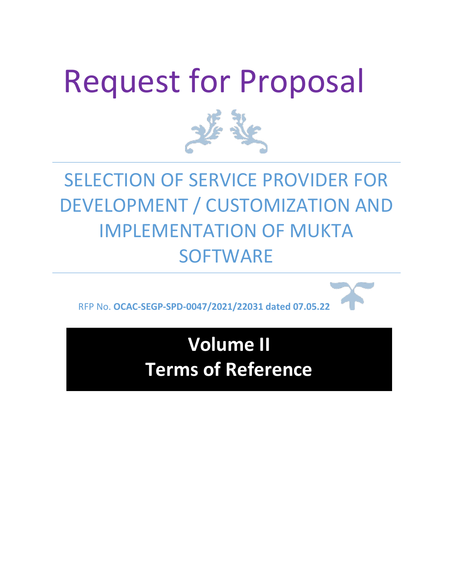# Request for Proposal



# SELECTION OF SERVICE PROVIDER FOR DEVELOPMENT / CUSTOMIZATION AND IMPLEMENTATION OF MUKTA **SOFTWARE**

RFP No. **OCAC-SEGP-SPD-0047/2021/22031 dated 07.05.22**

# **Volume II Terms of Reference**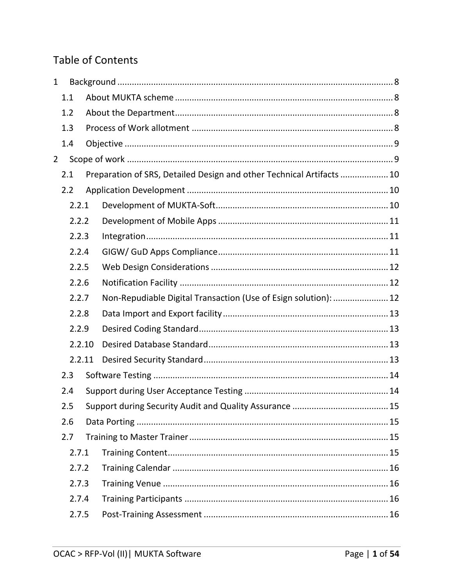# **Table of Contents**

| $\mathbf 1$    |       |        |                                                                       |  |
|----------------|-------|--------|-----------------------------------------------------------------------|--|
|                | 1.1   |        |                                                                       |  |
|                | 1.2   |        |                                                                       |  |
|                | 1.3   |        |                                                                       |  |
|                | 1.4   |        |                                                                       |  |
| $\overline{2}$ |       |        |                                                                       |  |
|                | 2.1   |        | Preparation of SRS, Detailed Design and other Technical Artifacts  10 |  |
|                | 2.2   |        |                                                                       |  |
|                | 2.2.1 |        |                                                                       |  |
|                | 2.2.2 |        |                                                                       |  |
|                | 2.2.3 |        |                                                                       |  |
|                | 2.2.4 |        |                                                                       |  |
|                | 2.2.5 |        |                                                                       |  |
|                | 2.2.6 |        |                                                                       |  |
|                | 2.2.7 |        | Non-Repudiable Digital Transaction (Use of Esign solution):  12       |  |
|                | 2.2.8 |        |                                                                       |  |
|                | 2.2.9 |        |                                                                       |  |
|                |       | 2.2.10 |                                                                       |  |
|                |       | 2.2.11 |                                                                       |  |
|                | 2.3   |        |                                                                       |  |
|                | 2.4   |        |                                                                       |  |
|                | 2.5   |        |                                                                       |  |
|                | 2.6   |        |                                                                       |  |
|                | 2.7   |        |                                                                       |  |
|                | 2.7.1 |        |                                                                       |  |
|                | 2.7.2 |        |                                                                       |  |
|                | 2.7.3 |        |                                                                       |  |
|                | 2.7.4 |        |                                                                       |  |
|                | 2.7.5 |        |                                                                       |  |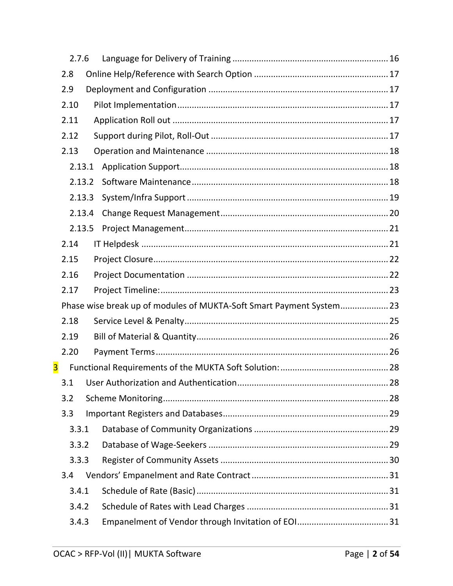|   | 2.7.6  |                                                                      |    |
|---|--------|----------------------------------------------------------------------|----|
|   | 2.8    |                                                                      |    |
|   | 2.9    |                                                                      |    |
|   | 2.10   |                                                                      |    |
|   | 2.11   |                                                                      |    |
|   | 2.12   |                                                                      |    |
|   | 2.13   |                                                                      |    |
|   | 2.13.1 |                                                                      |    |
|   | 2.13.2 |                                                                      |    |
|   | 2.13.3 |                                                                      |    |
|   | 2.13.4 |                                                                      |    |
|   | 2.13.5 |                                                                      |    |
|   | 2.14   |                                                                      |    |
|   | 2.15   |                                                                      |    |
|   | 2.16   |                                                                      |    |
|   | 2.17   |                                                                      |    |
|   |        | Phase wise break up of modules of MUKTA-Soft Smart Payment System 23 |    |
|   | 2.18   |                                                                      |    |
|   | 2.19   |                                                                      |    |
|   | 2.20   |                                                                      |    |
| 3 |        |                                                                      |    |
|   | 3.1 -  | User Authorization and Authentication                                | 28 |
|   | 3.2    |                                                                      |    |
|   | 3.3    |                                                                      |    |
|   | 3.3.1  |                                                                      |    |
|   | 3.3.2  |                                                                      |    |
|   | 3.3.3  |                                                                      |    |
|   | 3.4    |                                                                      |    |
|   | 3.4.1  |                                                                      |    |
|   | 3.4.2  |                                                                      |    |
|   | 3.4.3  |                                                                      |    |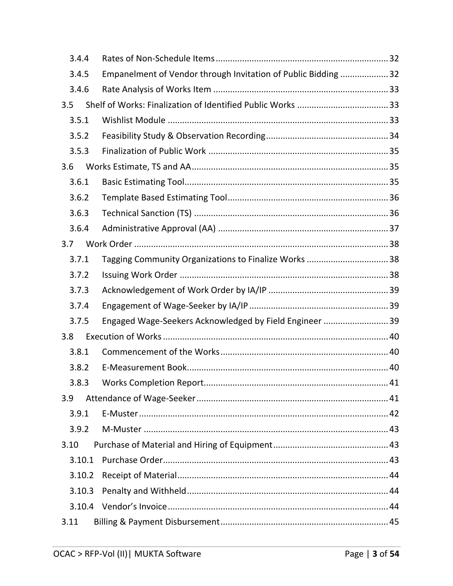| 3.4.4 |        |                                                               |  |
|-------|--------|---------------------------------------------------------------|--|
| 3.4.5 |        | Empanelment of Vendor through Invitation of Public Bidding 32 |  |
| 3.4.6 |        |                                                               |  |
| 3.5   |        |                                                               |  |
| 3.5.1 |        |                                                               |  |
| 3.5.2 |        |                                                               |  |
| 3.5.3 |        |                                                               |  |
| 3.6   |        |                                                               |  |
| 3.6.1 |        |                                                               |  |
| 3.6.2 |        |                                                               |  |
| 3.6.3 |        |                                                               |  |
| 3.6.4 |        |                                                               |  |
| 3.7   |        |                                                               |  |
| 3.7.1 |        | Tagging Community Organizations to Finalize Works 38          |  |
| 3.7.2 |        |                                                               |  |
| 3.7.3 |        |                                                               |  |
| 3.7.4 |        |                                                               |  |
| 3.7.5 |        | Engaged Wage-Seekers Acknowledged by Field Engineer 39        |  |
| 3.8   |        |                                                               |  |
| 3.8.1 |        |                                                               |  |
| 3.8.2 |        |                                                               |  |
| 3.8.3 |        |                                                               |  |
| 3.9   |        |                                                               |  |
| 3.9.1 |        |                                                               |  |
| 3.9.2 |        |                                                               |  |
| 3.10  |        |                                                               |  |
|       | 3.10.1 |                                                               |  |
|       | 3.10.2 |                                                               |  |
|       | 3.10.3 |                                                               |  |
|       |        |                                                               |  |
| 3.11  |        |                                                               |  |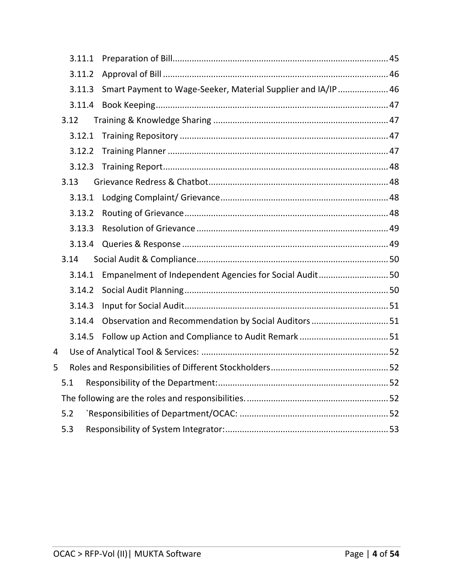|   | 3.11.1 |                                                               |  |
|---|--------|---------------------------------------------------------------|--|
|   | 3.11.2 |                                                               |  |
|   | 3.11.3 | Smart Payment to Wage-Seeker, Material Supplier and IA/IP  46 |  |
|   | 3.11.4 |                                                               |  |
|   | 3.12   |                                                               |  |
|   | 3.12.1 |                                                               |  |
|   | 3.12.2 |                                                               |  |
|   | 3.12.3 |                                                               |  |
|   | 3.13   |                                                               |  |
|   | 3.13.1 |                                                               |  |
|   | 3.13.2 |                                                               |  |
|   | 3.13.3 |                                                               |  |
|   | 3.13.4 |                                                               |  |
|   | 3.14   |                                                               |  |
|   | 3.14.1 | Empanelment of Independent Agencies for Social Audit50        |  |
|   | 3.14.2 |                                                               |  |
|   | 3.14.3 |                                                               |  |
|   | 3.14.4 | Observation and Recommendation by Social Auditors 51          |  |
|   | 3.14.5 |                                                               |  |
| 4 |        |                                                               |  |
| 5 |        |                                                               |  |
|   | 5.1    |                                                               |  |
|   |        |                                                               |  |
|   | 5.2    |                                                               |  |
|   | 5.3    |                                                               |  |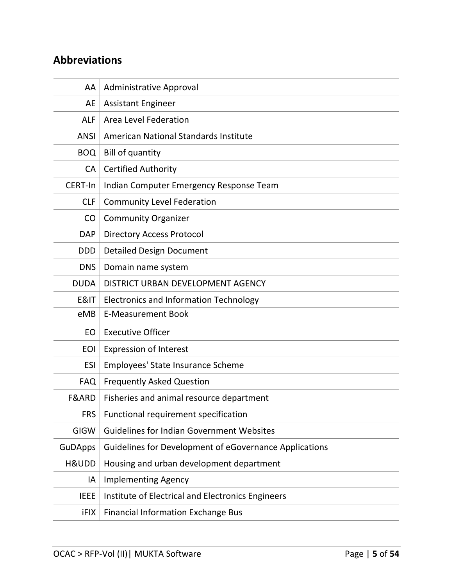# **Abbreviations**

| AA             | <b>Administrative Approval</b>                         |
|----------------|--------------------------------------------------------|
| AE             | <b>Assistant Engineer</b>                              |
| <b>ALF</b>     | Area Level Federation                                  |
| <b>ANSI</b>    | American National Standards Institute                  |
| <b>BOQ</b>     | <b>Bill of quantity</b>                                |
| <b>CA</b>      | <b>Certified Authority</b>                             |
| CERT-In        | Indian Computer Emergency Response Team                |
| <b>CLF</b>     | <b>Community Level Federation</b>                      |
| CO             | <b>Community Organizer</b>                             |
| <b>DAP</b>     | <b>Directory Access Protocol</b>                       |
| <b>DDD</b>     | <b>Detailed Design Document</b>                        |
| <b>DNS</b>     | Domain name system                                     |
| <b>DUDA</b>    | DISTRICT URBAN DEVELOPMENT AGENCY                      |
| E&IT           | <b>Electronics and Information Technology</b>          |
| eMB            | <b>E-Measurement Book</b>                              |
| <b>EO</b>      | <b>Executive Officer</b>                               |
| <b>EOI</b>     | <b>Expression of Interest</b>                          |
| <b>ESI</b>     | Employees' State Insurance Scheme                      |
| <b>FAQ</b>     | <b>Frequently Asked Question</b>                       |
| F&ARD          | Fisheries and animal resource department               |
| <b>FRS</b>     | Functional requirement specification                   |
| <b>GIGW</b>    | <b>Guidelines for Indian Government Websites</b>       |
| <b>GuDApps</b> | Guidelines for Development of eGovernance Applications |
| H&UDD          | Housing and urban development department               |
| IA             | <b>Implementing Agency</b>                             |
| <b>IEEE</b>    | Institute of Electrical and Electronics Engineers      |
| iFIX           | <b>Financial Information Exchange Bus</b>              |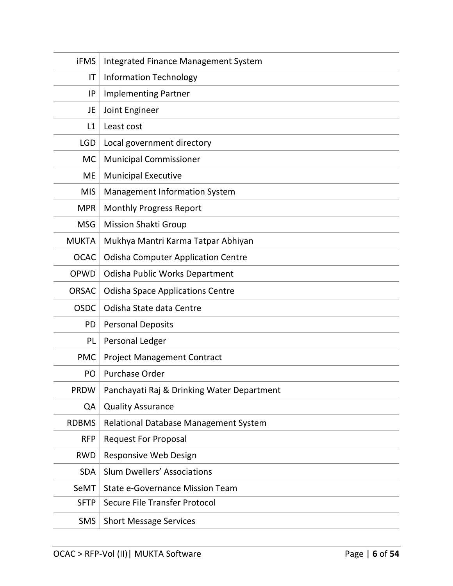| <b>iFMS</b>  | <b>Integrated Finance Management System</b>  |
|--------------|----------------------------------------------|
| IT           | <b>Information Technology</b>                |
| IP           | <b>Implementing Partner</b>                  |
| JE           | Joint Engineer                               |
| L1           | Least cost                                   |
| <b>LGD</b>   | Local government directory                   |
| <b>MC</b>    | <b>Municipal Commissioner</b>                |
| <b>ME</b>    | <b>Municipal Executive</b>                   |
| <b>MIS</b>   | <b>Management Information System</b>         |
| <b>MPR</b>   | <b>Monthly Progress Report</b>               |
| <b>MSG</b>   | <b>Mission Shakti Group</b>                  |
| <b>MUKTA</b> | Mukhya Mantri Karma Tatpar Abhiyan           |
| <b>OCAC</b>  | <b>Odisha Computer Application Centre</b>    |
| OPWD         | <b>Odisha Public Works Department</b>        |
| <b>ORSAC</b> | <b>Odisha Space Applications Centre</b>      |
| <b>OSDC</b>  | Odisha State data Centre                     |
| PD           | <b>Personal Deposits</b>                     |
| PL           | Personal Ledger                              |
| <b>PMC</b>   | <b>Project Management Contract</b>           |
| PO           | <b>Purchase Order</b>                        |
| <b>PRDW</b>  | Panchayati Raj & Drinking Water Department   |
| QA           | <b>Quality Assurance</b>                     |
| <b>RDBMS</b> | <b>Relational Database Management System</b> |
| <b>RFP</b>   | <b>Request For Proposal</b>                  |
| <b>RWD</b>   | Responsive Web Design                        |
| <b>SDA</b>   | <b>Slum Dwellers' Associations</b>           |
| SeMT         | <b>State e-Governance Mission Team</b>       |
| <b>SFTP</b>  | Secure File Transfer Protocol                |
| <b>SMS</b>   | <b>Short Message Services</b>                |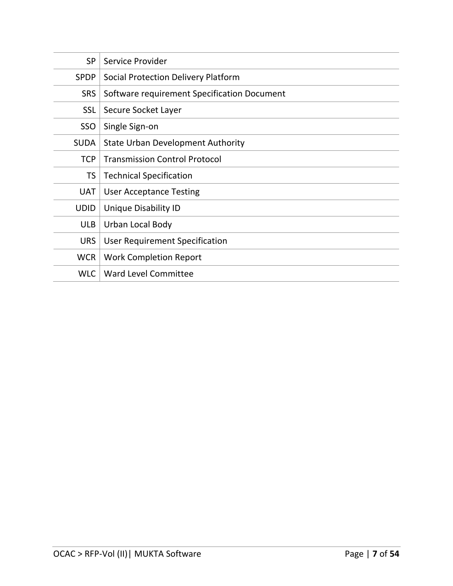| <b>SP</b>   | Service Provider                            |
|-------------|---------------------------------------------|
| <b>SPDP</b> | Social Protection Delivery Platform         |
| <b>SRS</b>  | Software requirement Specification Document |
| <b>SSL</b>  | Secure Socket Layer                         |
| SSO         | Single Sign-on                              |
| <b>SUDA</b> | <b>State Urban Development Authority</b>    |
| <b>TCP</b>  | <b>Transmission Control Protocol</b>        |
| TS          | <b>Technical Specification</b>              |
| <b>UAT</b>  | <b>User Acceptance Testing</b>              |
| <b>UDID</b> | <b>Unique Disability ID</b>                 |
| <b>ULB</b>  | Urban Local Body                            |
| <b>URS</b>  | <b>User Requirement Specification</b>       |
| <b>WCR</b>  | <b>Work Completion Report</b>               |
| <b>WLC</b>  | <b>Ward Level Committee</b>                 |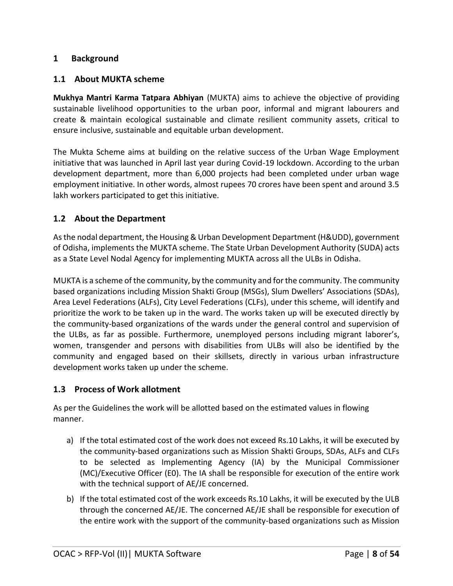#### <span id="page-8-0"></span>**1 Background**

#### <span id="page-8-1"></span>**1.1 About MUKTA scheme**

**Mukhya Mantri Karma Tatpara Abhiyan** (MUKTA) aims to achieve the objective of providing sustainable livelihood opportunities to the urban poor, informal and migrant labourers and create & maintain ecological sustainable and climate resilient community assets, critical to ensure inclusive, sustainable and equitable urban development.

The Mukta Scheme aims at building on the relative success of the Urban Wage Employment initiative that was launched in April last year during Covid-19 lockdown. According to the urban development department, more than 6,000 projects had been completed under urban wage employment initiative. In other words, almost rupees 70 crores have been spent and around 3.5 lakh workers participated to get this initiative.

#### <span id="page-8-2"></span>**1.2 About the Department**

As the nodal department, the Housing & Urban Development Department (H&UDD), government of Odisha, implements the MUKTA scheme. The State Urban Development Authority (SUDA) acts as a State Level Nodal Agency for implementing MUKTA across all the ULBs in Odisha.

MUKTA is a scheme of the community, by the community and for the community. The community based organizations including Mission Shakti Group (MSGs), Slum Dwellers' Associations (SDAs), Area Level Federations (ALFs), City Level Federations (CLFs), under this scheme, will identify and prioritize the work to be taken up in the ward. The works taken up will be executed directly by the community-based organizations of the wards under the general control and supervision of the ULBs, as far as possible. Furthermore, unemployed persons including migrant laborer's, women, transgender and persons with disabilities from ULBs will also be identified by the community and engaged based on their skillsets, directly in various urban infrastructure development works taken up under the scheme.

#### <span id="page-8-3"></span>**1.3 Process of Work allotment**

As per the Guidelines the work will be allotted based on the estimated values in flowing manner.

- a) If the total estimated cost of the work does not exceed Rs.10 Lakhs, it will be executed by the community-based organizations such as Mission Shakti Groups, SDAs, ALFs and CLFs to be selected as Implementing Agency (IA) by the Municipal Commissioner (MC)/Executive Officer (E0). The IA shall be responsible for execution of the entire work with the technical support of AE/JE concerned.
- b) If the total estimated cost of the work exceeds Rs.10 Lakhs, it will be executed by the ULB through the concerned AE/JE. The concerned AE/JE shall be responsible for execution of the entire work with the support of the community-based organizations such as Mission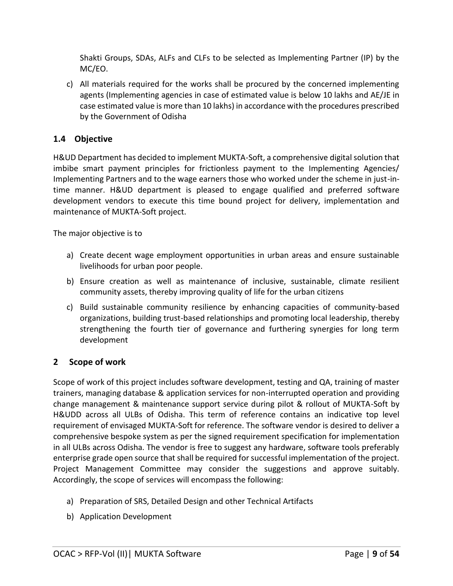Shakti Groups, SDAs, ALFs and CLFs to be selected as Implementing Partner (IP) by the MC/EO.

c) All materials required for the works shall be procured by the concerned implementing agents (Implementing agencies in case of estimated value is below 10 lakhs and AE/JE in case estimated value is more than 10 lakhs) in accordance with the procedures prescribed by the Government of Odisha

# <span id="page-9-0"></span>**1.4 Objective**

H&UD Department has decided to implement MUKTA-Soft, a comprehensive digital solution that imbibe smart payment principles for frictionless payment to the Implementing Agencies/ Implementing Partners and to the wage earners those who worked under the scheme in just-intime manner. H&UD department is pleased to engage qualified and preferred software development vendors to execute this time bound project for delivery, implementation and maintenance of MUKTA-Soft project.

The major objective is to

- a) Create decent wage employment opportunities in urban areas and ensure sustainable livelihoods for urban poor people.
- b) Ensure creation as well as maintenance of inclusive, sustainable, climate resilient community assets, thereby improving quality of life for the urban citizens
- c) Build sustainable community resilience by enhancing capacities of community-based organizations, building trust-based relationships and promoting local leadership, thereby strengthening the fourth tier of governance and furthering synergies for long term development

# <span id="page-9-1"></span>**2 Scope of work**

Scope of work of this project includes software development, testing and QA, training of master trainers, managing database & application services for non-interrupted operation and providing change management & maintenance support service during pilot & rollout of MUKTA-Soft by H&UDD across all ULBs of Odisha. This term of reference contains an indicative top level requirement of envisaged MUKTA-Soft for reference. The software vendor is desired to deliver a comprehensive bespoke system as per the signed requirement specification for implementation in all ULBs across Odisha. The vendor is free to suggest any hardware, software tools preferably enterprise grade open source that shall be required for successful implementation of the project. Project Management Committee may consider the suggestions and approve suitably. Accordingly, the scope of services will encompass the following:

- a) Preparation of SRS, Detailed Design and other Technical Artifacts
- b) Application Development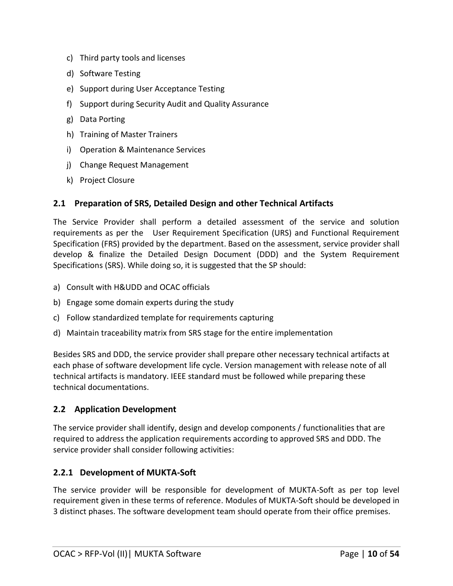- c) Third party tools and licenses
- d) Software Testing
- e) Support during User Acceptance Testing
- f) Support during Security Audit and Quality Assurance
- g) Data Porting
- h) Training of Master Trainers
- i) Operation & Maintenance Services
- j) Change Request Management
- k) Project Closure

# <span id="page-10-0"></span>**2.1 Preparation of SRS, Detailed Design and other Technical Artifacts**

The Service Provider shall perform a detailed assessment of the service and solution requirements as per the User Requirement Specification (URS) and Functional Requirement Specification (FRS) provided by the department. Based on the assessment, service provider shall develop & finalize the Detailed Design Document (DDD) and the System Requirement Specifications (SRS). While doing so, it is suggested that the SP should:

- a) Consult with H&UDD and OCAC officials
- b) Engage some domain experts during the study
- c) Follow standardized template for requirements capturing
- d) Maintain traceability matrix from SRS stage for the entire implementation

Besides SRS and DDD, the service provider shall prepare other necessary technical artifacts at each phase of software development life cycle. Version management with release note of all technical artifacts is mandatory. IEEE standard must be followed while preparing these technical documentations.

# <span id="page-10-1"></span>**2.2 Application Development**

The service provider shall identify, design and develop components / functionalities that are required to address the application requirements according to approved SRS and DDD. The service provider shall consider following activities:

# <span id="page-10-2"></span>**2.2.1 Development of MUKTA-Soft**

The service provider will be responsible for development of MUKTA-Soft as per top level requirement given in these terms of reference. Modules of MUKTA-Soft should be developed in 3 distinct phases. The software development team should operate from their office premises.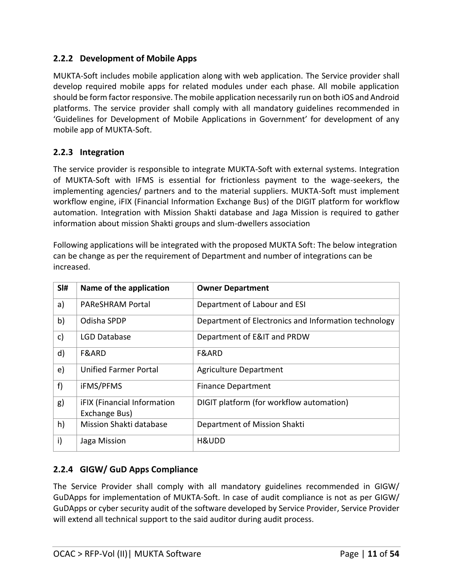# <span id="page-11-0"></span>**2.2.2 Development of Mobile Apps**

MUKTA-Soft includes mobile application along with web application. The Service provider shall develop required mobile apps for related modules under each phase. All mobile application should be form factor responsive. The mobile application necessarily run on both iOS and Android platforms. The service provider shall comply with all mandatory guidelines recommended in 'Guidelines for Development of Mobile Applications in Government' for development of any mobile app of MUKTA-Soft.

# <span id="page-11-1"></span>**2.2.3 Integration**

The service provider is responsible to integrate MUKTA-Soft with external systems. Integration of MUKTA-Soft with IFMS is essential for frictionless payment to the wage-seekers, the implementing agencies/ partners and to the material suppliers. MUKTA-Soft must implement workflow engine, iFIX (Financial Information Exchange Bus) of the DIGIT platform for workflow automation. Integration with Mission Shakti database and Jaga Mission is required to gather information about mission Shakti groups and slum-dwellers association

Following applications will be integrated with the proposed MUKTA Soft: The below integration can be change as per the requirement of Department and number of integrations can be increased.

| SI#          | Name of the application                             | <b>Owner Department</b>                              |
|--------------|-----------------------------------------------------|------------------------------------------------------|
| a)           | <b>PAReSHRAM Portal</b>                             | Department of Labour and ESI                         |
| b)           | Odisha SPDP                                         | Department of Electronics and Information technology |
| $\mathsf{c}$ | LGD Database                                        | Department of E&IT and PRDW                          |
| d)           | F&ARD                                               | <b>F&amp;ARD</b>                                     |
| e)           | <b>Unified Farmer Portal</b>                        | <b>Agriculture Department</b>                        |
| f)           | <b>iFMS/PFMS</b>                                    | <b>Finance Department</b>                            |
| g)           | <b>iFIX</b> (Financial Information<br>Exchange Bus) | DIGIT platform (for workflow automation)             |
| h)           | Mission Shakti database                             | Department of Mission Shakti                         |
| i)           | Jaga Mission                                        | H&UDD                                                |

# <span id="page-11-2"></span>**2.2.4 GIGW/ GuD Apps Compliance**

The Service Provider shall comply with all mandatory guidelines recommended in GIGW/ GuDApps for implementation of MUKTA-Soft. In case of audit compliance is not as per GIGW/ GuDApps or cyber security audit of the software developed by Service Provider, Service Provider will extend all technical support to the said auditor during audit process.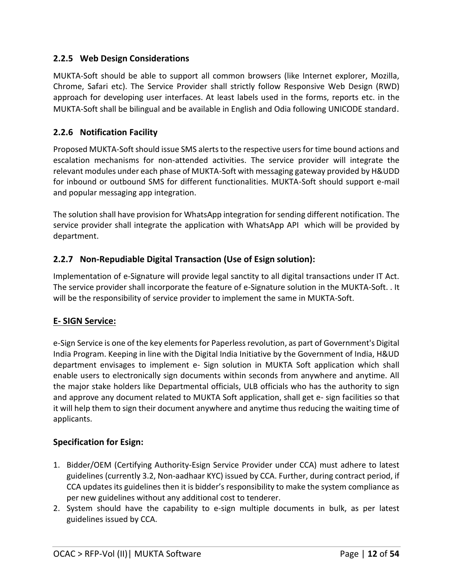# <span id="page-12-0"></span>**2.2.5 Web Design Considerations**

MUKTA-Soft should be able to support all common browsers (like Internet explorer, Mozilla, Chrome, Safari etc). The Service Provider shall strictly follow Responsive Web Design (RWD) approach for developing user interfaces. At least labels used in the forms, reports etc. in the MUKTA-Soft shall be bilingual and be available in English and Odia following UNICODE standard.

# <span id="page-12-1"></span>**2.2.6 Notification Facility**

Proposed MUKTA-Soft should issue SMS alerts to the respective users for time bound actions and escalation mechanisms for non-attended activities. The service provider will integrate the relevant modules under each phase of MUKTA-Soft with messaging gateway provided by H&UDD for inbound or outbound SMS for different functionalities. MUKTA-Soft should support e-mail and popular messaging app integration.

The solution shall have provision for WhatsApp integration for sending different notification. The service provider shall integrate the application with WhatsApp API which will be provided by department.

# <span id="page-12-2"></span>**2.2.7 Non-Repudiable Digital Transaction (Use of Esign solution):**

Implementation of e-Signature will provide legal sanctity to all digital transactions under IT Act. The service provider shall incorporate the feature of e-Signature solution in the MUKTA-Soft. . It will be the responsibility of service provider to implement the same in MUKTA-Soft.

# **E- SIGN Service:**

e-Sign Service is one of the key elements for Paperless revolution, as part of Government's Digital India Program. Keeping in line with the Digital India Initiative by the Government of India, H&UD department envisages to implement e- Sign solution in MUKTA Soft application which shall enable users to electronically sign documents within seconds from anywhere and anytime. All the major stake holders like Departmental officials, ULB officials who has the authority to sign and approve any document related to MUKTA Soft application, shall get e- sign facilities so that it will help them to sign their document anywhere and anytime thus reducing the waiting time of applicants.

# **Specification for Esign:**

- 1. Bidder/OEM (Certifying Authority-Esign Service Provider under CCA) must adhere to latest guidelines (currently 3.2, Non-aadhaar KYC) issued by CCA. Further, during contract period, if CCA updates its guidelines then it is bidder's responsibility to make the system compliance as per new guidelines without any additional cost to tenderer.
- 2. System should have the capability to e-sign multiple documents in bulk, as per latest guidelines issued by CCA.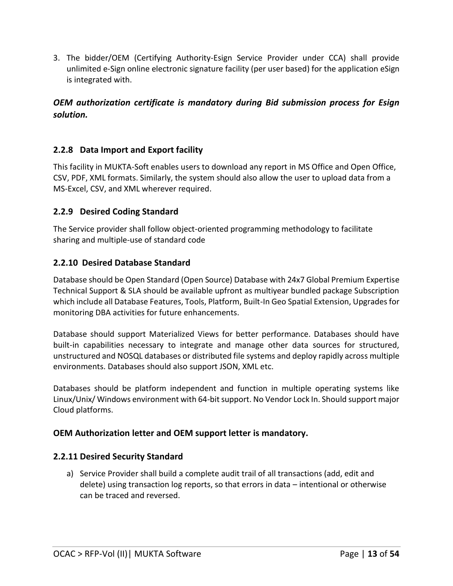3. The bidder/OEM (Certifying Authority-Esign Service Provider under CCA) shall provide unlimited e-Sign online electronic signature facility (per user based) for the application eSign is integrated with.

*OEM authorization certificate is mandatory during Bid submission process for Esign solution.* 

# <span id="page-13-0"></span>**2.2.8 Data Import and Export facility**

This facility in MUKTA-Soft enables users to download any report in MS Office and Open Office, CSV, PDF, XML formats. Similarly, the system should also allow the user to upload data from a MS-Excel, CSV, and XML wherever required.

# <span id="page-13-1"></span>**2.2.9 Desired Coding Standard**

The Service provider shall follow object-oriented programming methodology to facilitate sharing and multiple-use of standard code

# <span id="page-13-2"></span>**2.2.10 Desired Database Standard**

Database should be Open Standard (Open Source) Database with 24x7 Global Premium Expertise Technical Support & SLA should be available upfront as multiyear bundled package Subscription which include all Database Features, Tools, Platform, Built-In Geo Spatial Extension, Upgrades for monitoring DBA activities for future enhancements.

Database should support Materialized Views for better performance. Databases should have built-in capabilities necessary to integrate and manage other data sources for structured, unstructured and NOSQL databases or distributed file systems and deploy rapidly across multiple environments. Databases should also support JSON, XML etc.

Databases should be platform independent and function in multiple operating systems like Linux/Unix/ Windows environment with 64-bit support. No Vendor Lock In. Should support major Cloud platforms.

# **OEM Authorization letter and OEM support letter is mandatory.**

#### <span id="page-13-3"></span>**2.2.11 Desired Security Standard**

a) Service Provider shall build a complete audit trail of all transactions (add, edit and delete) using transaction log reports, so that errors in data – intentional or otherwise can be traced and reversed.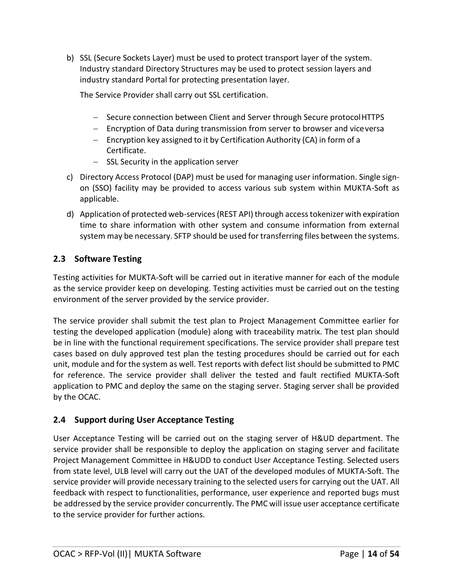b) SSL (Secure Sockets Layer) must be used to protect transport layer of the system. Industry standard Directory Structures may be used to protect session layers and industry standard Portal for protecting presentation layer.

The Service Provider shall carry out SSL certification.

- − Secure connection between Client and Server through Secure protocolHTTPS
- − Encryption of Data during transmission from server to browser and viceversa
- − Encryption key assigned to it by Certification Authority (CA) in form of a Certificate.
- − SSL Security in the application server
- c) Directory Access Protocol (DAP) must be used for managing user information. Single signon (SSO) facility may be provided to access various sub system within MUKTA-Soft as applicable.
- d) Application of protected web-services (REST API) through access tokenizer with expiration time to share information with other system and consume information from external system may be necessary. SFTP should be used for transferring files between the systems.

# <span id="page-14-0"></span>**2.3 Software Testing**

Testing activities for MUKTA-Soft will be carried out in iterative manner for each of the module as the service provider keep on developing. Testing activities must be carried out on the testing environment of the server provided by the service provider.

The service provider shall submit the test plan to Project Management Committee earlier for testing the developed application (module) along with traceability matrix. The test plan should be in line with the functional requirement specifications. The service provider shall prepare test cases based on duly approved test plan the testing procedures should be carried out for each unit, module and for the system as well. Test reports with defect list should be submitted to PMC for reference. The service provider shall deliver the tested and fault rectified MUKTA-Soft application to PMC and deploy the same on the staging server. Staging server shall be provided by the OCAC.

# <span id="page-14-1"></span>**2.4 Support during User Acceptance Testing**

User Acceptance Testing will be carried out on the staging server of H&UD department. The service provider shall be responsible to deploy the application on staging server and facilitate Project Management Committee in H&UDD to conduct User Acceptance Testing. Selected users from state level, ULB level will carry out the UAT of the developed modules of MUKTA-Soft. The service provider will provide necessary training to the selected users for carrying out the UAT. All feedback with respect to functionalities, performance, user experience and reported bugs must be addressed by the service provider concurrently. The PMC will issue user acceptance certificate to the service provider for further actions.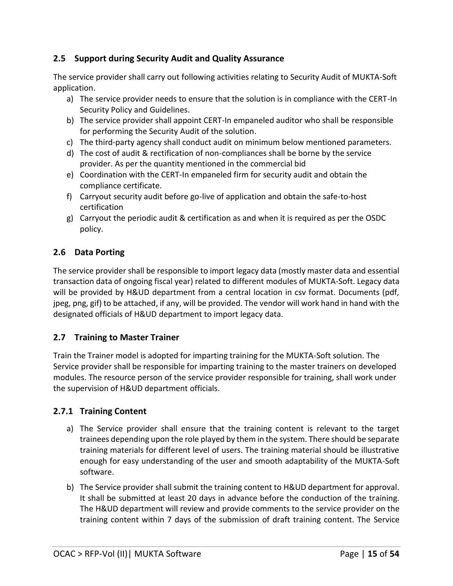# <span id="page-15-0"></span>**2.5 Support during Security Audit and Quality Assurance**

The service provider shall carry out following activities relating to Security Audit of MUKTA-Soft application.

- a) The service provider needs to ensure that the solution is in compliance with the CERT-In Security Policy and Guidelines.
- b) The service provider shall appoint CERT-In empaneled auditor who shall be responsible for performing the Security Audit of the solution.
- c) The third-party agency shall conduct audit on minimum below mentioned parameters.
- d) The cost of audit & rectification of non-compliances shall be borne by the service provider. As per the quantity mentioned in the commercial bid
- e) Coordination with the CERT-In empaneled firm for security audit and obtain the compliance certificate.
- f) Carryout security audit before go-live of application and obtain the safe-to-host certification
- g) Carryout the periodic audit & certification as and when it is required as per the OSDC policy.

# <span id="page-15-1"></span>**2.6 Data Porting**

The service provider shall be responsible to import legacy data (mostly master data and essential transaction data of ongoing fiscal year) related to different modules of MUKTA-Soft. Legacy data will be provided by H&UD department from a central location in csv format. Documents (pdf, jpeg, png, gif) to be attached, if any, will be provided. The vendor will work hand in hand with the designated officials of H&UD department to import legacy data.

# <span id="page-15-2"></span>**2.7 Training to Master Trainer**

Train the Trainer model is adopted for imparting training for the MUKTA-Soft solution. The Service provider shall be responsible for imparting training to the master trainers on developed modules. The resource person of the service provider responsible for training, shall work under the supervision of H&UD department officials.

# <span id="page-15-3"></span>**2.7.1 Training Content**

- a) The Service provider shall ensure that the training content is relevant to the target trainees depending upon the role played by them in the system. There should be separate training materials for different level of users. The training material should be illustrative enough for easy understanding of the user and smooth adaptability of the MUKTA-Soft software.
- b) The Service provider shall submit the training content to H&UD department for approval. It shall be submitted at least 20 days in advance before the conduction of the training. The H&UD department will review and provide comments to the service provider on the training content within 7 days of the submission of draft training content. The Service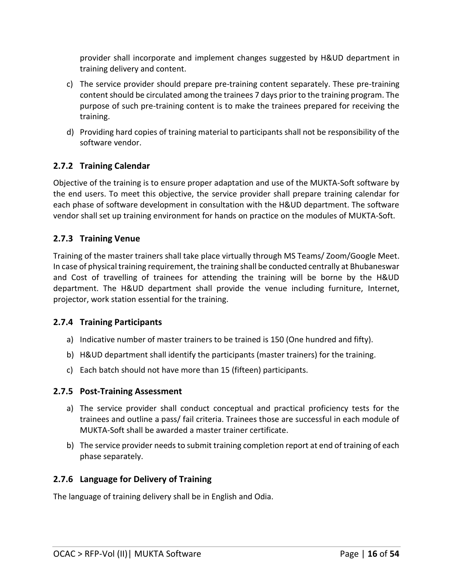provider shall incorporate and implement changes suggested by H&UD department in training delivery and content.

- c) The service provider should prepare pre-training content separately. These pre-training content should be circulated among the trainees 7 days prior to the training program. The purpose of such pre-training content is to make the trainees prepared for receiving the training.
- d) Providing hard copies of training material to participants shall not be responsibility of the software vendor.

# <span id="page-16-0"></span>**2.7.2 Training Calendar**

Objective of the training is to ensure proper adaptation and use of the MUKTA-Soft software by the end users. To meet this objective, the service provider shall prepare training calendar for each phase of software development in consultation with the H&UD department. The software vendor shall set up training environment for hands on practice on the modules of MUKTA-Soft.

# <span id="page-16-1"></span>**2.7.3 Training Venue**

Training of the master trainers shall take place virtually through MS Teams/ Zoom/Google Meet. In case of physical training requirement, the training shall be conducted centrally at Bhubaneswar and Cost of travelling of trainees for attending the training will be borne by the H&UD department. The H&UD department shall provide the venue including furniture, Internet, projector, work station essential for the training.

# <span id="page-16-2"></span>**2.7.4 Training Participants**

- a) Indicative number of master trainers to be trained is 150 (One hundred and fifty).
- b) H&UD department shall identify the participants (master trainers) for the training.
- c) Each batch should not have more than 15 (fifteen) participants.

#### <span id="page-16-3"></span>**2.7.5 Post-Training Assessment**

- a) The service provider shall conduct conceptual and practical proficiency tests for the trainees and outline a pass/ fail criteria. Trainees those are successful in each module of MUKTA-Soft shall be awarded a master trainer certificate.
- b) The service provider needs to submit training completion report at end of training of each phase separately.

# <span id="page-16-4"></span>**2.7.6 Language for Delivery of Training**

The language of training delivery shall be in English and Odia.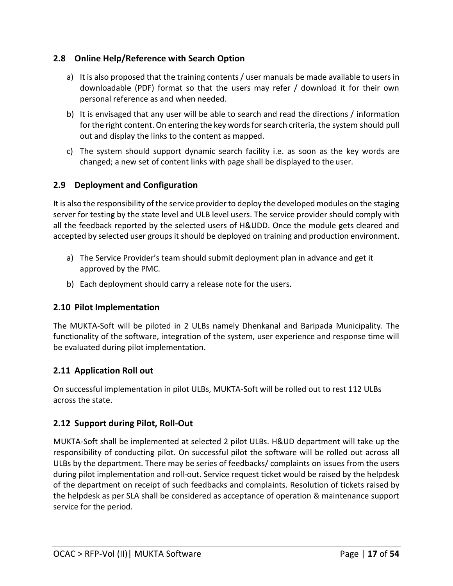# <span id="page-17-0"></span>**2.8 Online Help/Reference with Search Option**

- a) It is also proposed that the training contents / user manuals be made available to users in downloadable (PDF) format so that the users may refer / download it for their own personal reference as and when needed.
- b) It is envisaged that any user will be able to search and read the directions / information for the right content. On entering the key words for search criteria, the system should pull out and display the links to the content as mapped.
- c) The system should support dynamic search facility i.e. as soon as the key words are changed; a new set of content links with page shall be displayed to the user.

# <span id="page-17-1"></span>**2.9 Deployment and Configuration**

It is also the responsibility of the service provider to deploy the developed modules on the staging server for testing by the state level and ULB level users. The service provider should comply with all the feedback reported by the selected users of H&UDD. Once the module gets cleared and accepted by selected user groups it should be deployed on training and production environment.

- a) The Service Provider's team should submit deployment plan in advance and get it approved by the PMC.
- b) Each deployment should carry a release note for the users.

# <span id="page-17-2"></span>**2.10 Pilot Implementation**

The MUKTA-Soft will be piloted in 2 ULBs namely Dhenkanal and Baripada Municipality. The functionality of the software, integration of the system, user experience and response time will be evaluated during pilot implementation.

# <span id="page-17-3"></span>**2.11 Application Roll out**

On successful implementation in pilot ULBs, MUKTA-Soft will be rolled out to rest 112 ULBs across the state.

# <span id="page-17-4"></span>**2.12 Support during Pilot, Roll-Out**

MUKTA-Soft shall be implemented at selected 2 pilot ULBs. H&UD department will take up the responsibility of conducting pilot. On successful pilot the software will be rolled out across all ULBs by the department. There may be series of feedbacks/ complaints on issues from the users during pilot implementation and roll-out. Service request ticket would be raised by the helpdesk of the department on receipt of such feedbacks and complaints. Resolution of tickets raised by the helpdesk as per SLA shall be considered as acceptance of operation & maintenance support service for the period.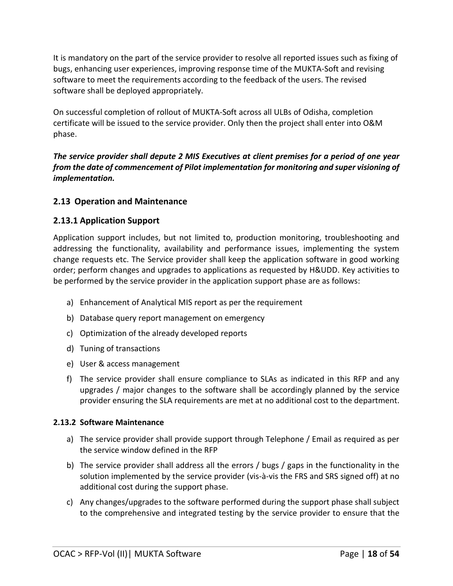It is mandatory on the part of the service provider to resolve all reported issues such as fixing of bugs, enhancing user experiences, improving response time of the MUKTA-Soft and revising software to meet the requirements according to the feedback of the users. The revised software shall be deployed appropriately.

On successful completion of rollout of MUKTA-Soft across all ULBs of Odisha, completion certificate will be issued to the service provider. Only then the project shall enter into O&M phase.

*The service provider shall depute 2 MIS Executives at client premises for a period of one year from the date of commencement of Pilot implementation for monitoring and super visioning of implementation.* 

# <span id="page-18-0"></span>**2.13 Operation and Maintenance**

# <span id="page-18-1"></span>**2.13.1 Application Support**

Application support includes, but not limited to, production monitoring, troubleshooting and addressing the functionality, availability and performance issues, implementing the system change requests etc. The Service provider shall keep the application software in good working order; perform changes and upgrades to applications as requested by H&UDD. Key activities to be performed by the service provider in the application support phase are as follows:

- a) Enhancement of Analytical MIS report as per the requirement
- b) Database query report management on emergency
- c) Optimization of the already developed reports
- d) Tuning of transactions
- e) User & access management
- f) The service provider shall ensure compliance to SLAs as indicated in this RFP and any upgrades / major changes to the software shall be accordingly planned by the service provider ensuring the SLA requirements are met at no additional cost to the department.

#### <span id="page-18-2"></span>**2.13.2 Software Maintenance**

- a) The service provider shall provide support through Telephone / Email as required as per the service window defined in the RFP
- b) The service provider shall address all the errors / bugs / gaps in the functionality in the solution implemented by the service provider (vis-à-vis the FRS and SRS signed off) at no additional cost during the support phase.
- c) Any changes/upgrades to the software performed during the support phase shall subject to the comprehensive and integrated testing by the service provider to ensure that the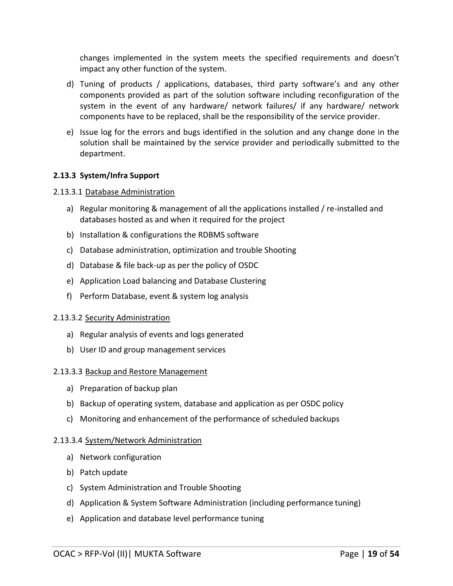changes implemented in the system meets the specified requirements and doesn't impact any other function of the system.

- d) Tuning of products / applications, databases, third party software's and any other components provided as part of the solution software including reconfiguration of the system in the event of any hardware/ network failures/ if any hardware/ network components have to be replaced, shall be the responsibility of the service provider.
- e) Issue log for the errors and bugs identified in the solution and any change done in the solution shall be maintained by the service provider and periodically submitted to the department.

#### <span id="page-19-0"></span>**2.13.3 System/Infra Support**

#### 2.13.3.1 Database Administration

- a) Regular monitoring & management of all the applications installed / re-installed and databases hosted as and when it required for the project
- b) Installation & configurations the RDBMS software
- c) Database administration, optimization and trouble Shooting
- d) Database & file back-up as per the policy of OSDC
- e) Application Load balancing and Database Clustering
- f) Perform Database, event & system log analysis

#### 2.13.3.2 Security Administration

- a) Regular analysis of events and logs generated
- b) User ID and group management services

#### 2.13.3.3 Backup and Restore Management

- a) Preparation of backup plan
- b) Backup of operating system, database and application as per OSDC policy
- c) Monitoring and enhancement of the performance of scheduled backups

#### 2.13.3.4 System/Network Administration

- a) Network configuration
- b) Patch update
- c) System Administration and Trouble Shooting
- d) Application & System Software Administration (including performance tuning)
- e) Application and database level performance tuning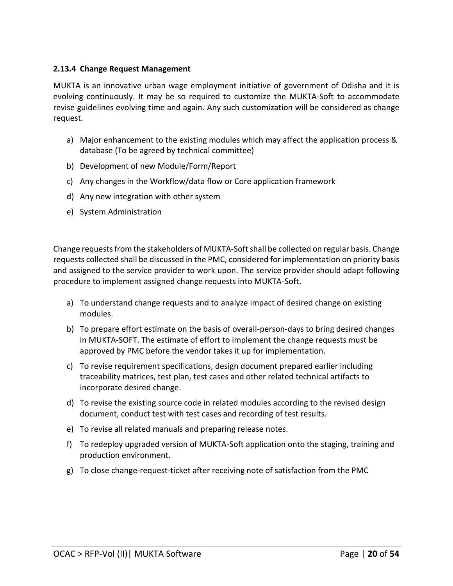#### <span id="page-20-0"></span>**2.13.4 Change Request Management**

MUKTA is an innovative urban wage employment initiative of government of Odisha and it is evolving continuously. It may be so required to customize the MUKTA-Soft to accommodate revise guidelines evolving time and again. Any such customization will be considered as change request.

- a) Major enhancement to the existing modules which may affect the application process & database (To be agreed by technical committee)
- b) Development of new Module/Form/Report
- c) Any changes in the Workflow/data flow or Core application framework
- d) Any new integration with other system
- e) System Administration

Change requests from the stakeholders of MUKTA-Soft shall be collected on regular basis. Change requests collected shall be discussed in the PMC, considered for implementation on priority basis and assigned to the service provider to work upon. The service provider should adapt following procedure to implement assigned change requests into MUKTA-Soft.

- a) To understand change requests and to analyze impact of desired change on existing modules.
- b) To prepare effort estimate on the basis of overall-person-days to bring desired changes in MUKTA-SOFT. The estimate of effort to implement the change requests must be approved by PMC before the vendor takes it up for implementation.
- c) To revise requirement specifications, design document prepared earlier including traceability matrices, test plan, test cases and other related technical artifacts to incorporate desired change.
- d) To revise the existing source code in related modules according to the revised design document, conduct test with test cases and recording of test results.
- e) To revise all related manuals and preparing release notes.
- f) To redeploy upgraded version of MUKTA-Soft application onto the staging, training and production environment.
- g) To close change-request-ticket after receiving note of satisfaction from the PMC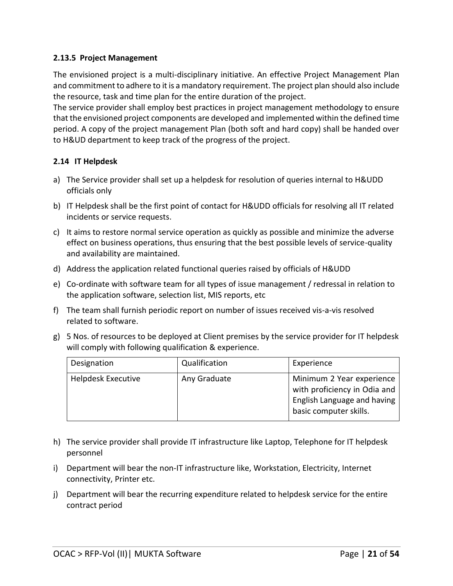#### <span id="page-21-0"></span>**2.13.5 Project Management**

The envisioned project is a multi-disciplinary initiative. An effective Project Management Plan and commitment to adhere to it is a mandatory requirement. The project plan should also include the resource, task and time plan for the entire duration of the project.

The service provider shall employ best practices in project management methodology to ensure that the envisioned project components are developed and implemented within the defined time period. A copy of the project management Plan (both soft and hard copy) shall be handed over to H&UD department to keep track of the progress of the project.

#### <span id="page-21-1"></span>**2.14 IT Helpdesk**

- a) The Service provider shall set up a helpdesk for resolution of queries internal to H&UDD officials only
- b) IT Helpdesk shall be the first point of contact for H&UDD officials for resolving all IT related incidents or service requests.
- c) It aims to restore normal service operation as quickly as possible and minimize the adverse effect on business operations, thus ensuring that the best possible levels of service-quality and availability are maintained.
- d) Address the application related functional queries raised by officials of H&UDD
- e) Co-ordinate with software team for all types of issue management / redressal in relation to the application software, selection list, MIS reports, etc
- f) The team shall furnish periodic report on number of issues received vis-a-vis resolved related to software.
- g) 5 Nos. of resources to be deployed at Client premises by the service provider for IT helpdesk will comply with following qualification & experience.

| Designation               | Qualification | Experience                                                                                                         |
|---------------------------|---------------|--------------------------------------------------------------------------------------------------------------------|
| <b>Helpdesk Executive</b> | Any Graduate  | Minimum 2 Year experience<br>with proficiency in Odia and<br>English Language and having<br>basic computer skills. |

- h) The service provider shall provide IT infrastructure like Laptop, Telephone for IT helpdesk personnel
- i) Department will bear the non-IT infrastructure like, Workstation, Electricity, Internet connectivity, Printer etc.
- j) Department will bear the recurring expenditure related to helpdesk service for the entire contract period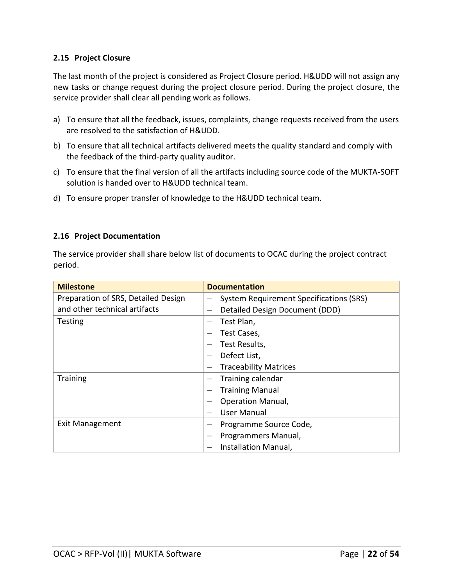#### <span id="page-22-0"></span>**2.15 Project Closure**

The last month of the project is considered as Project Closure period. H&UDD will not assign any new tasks or change request during the project closure period. During the project closure, the service provider shall clear all pending work as follows.

- a) To ensure that all the feedback, issues, complaints, change requests received from the users are resolved to the satisfaction of H&UDD.
- b) To ensure that all technical artifacts delivered meets the quality standard and comply with the feedback of the third-party quality auditor.
- c) To ensure that the final version of all the artifacts including source code of the MUKTA-SOFT solution is handed over to H&UDD technical team.
- d) To ensure proper transfer of knowledge to the H&UDD technical team.

#### <span id="page-22-1"></span>**2.16 Project Documentation**

The service provider shall share below list of documents to OCAC during the project contract period.

| <b>Milestone</b>                    | <b>Documentation</b>                    |
|-------------------------------------|-----------------------------------------|
| Preparation of SRS, Detailed Design | System Requirement Specifications (SRS) |
| and other technical artifacts       | Detailed Design Document (DDD)          |
| <b>Testing</b>                      | Test Plan,                              |
|                                     | Test Cases,                             |
|                                     | Test Results,                           |
|                                     | Defect List,                            |
|                                     | <b>Traceability Matrices</b>            |
| <b>Training</b>                     | Training calendar                       |
|                                     | <b>Training Manual</b>                  |
|                                     | <b>Operation Manual,</b>                |
|                                     | User Manual                             |
| <b>Exit Management</b>              | Programme Source Code,                  |
|                                     | Programmers Manual,                     |
|                                     | Installation Manual,                    |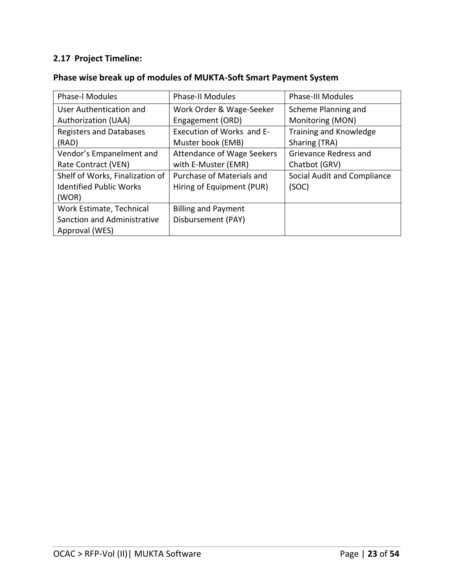# <span id="page-23-0"></span>**2.17 Project Timeline:**

<span id="page-23-1"></span>

|  | Phase wise break up of modules of MUKTA-Soft Smart Payment System |
|--|-------------------------------------------------------------------|
|--|-------------------------------------------------------------------|

| <b>Phase-I Modules</b>          | <b>Phase-II Modules</b>    | <b>Phase-III Modules</b>    |
|---------------------------------|----------------------------|-----------------------------|
| User Authentication and         | Work Order & Wage-Seeker   | Scheme Planning and         |
| Authorization (UAA)             | Engagement (ORD)           | Monitoring (MON)            |
| <b>Registers and Databases</b>  | Execution of Works and E-  | Training and Knowledge      |
| (RAD)                           | Muster book (EMB)          | Sharing (TRA)               |
| Vendor's Empanelment and        | Attendance of Wage Seekers | Grievance Redress and       |
| Rate Contract (VEN)             | with E-Muster (EMR)        | Chatbot (GRV)               |
| Shelf of Works, Finalization of | Purchase of Materials and  | Social Audit and Compliance |
| <b>Identified Public Works</b>  | Hiring of Equipment (PUR)  | (SOC)                       |
| (WOR)                           |                            |                             |
| Work Estimate, Technical        | <b>Billing and Payment</b> |                             |
| Sanction and Administrative     | Disbursement (PAY)         |                             |
| Approval (WES)                  |                            |                             |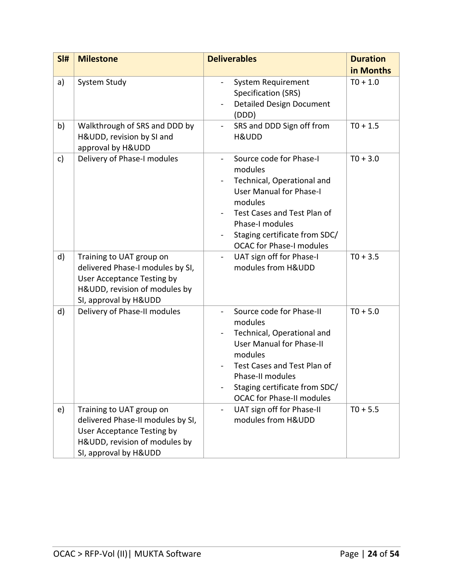| SI# | <b>Milestone</b>                                                                                                                                      | <b>Deliverables</b>                                                                                                                                                                                                                                             | <b>Duration</b>         |
|-----|-------------------------------------------------------------------------------------------------------------------------------------------------------|-----------------------------------------------------------------------------------------------------------------------------------------------------------------------------------------------------------------------------------------------------------------|-------------------------|
| a)  | System Study                                                                                                                                          | System Requirement<br>Specification (SRS)<br><b>Detailed Design Document</b><br>(DDD)                                                                                                                                                                           | in Months<br>$T0 + 1.0$ |
| b)  | Walkthrough of SRS and DDD by<br>H&UDD, revision by SI and<br>approval by H&UDD                                                                       | SRS and DDD Sign off from<br><b>H&amp;UDD</b>                                                                                                                                                                                                                   | $T0 + 1.5$              |
| c)  | Delivery of Phase-I modules                                                                                                                           | Source code for Phase-I<br>$\overline{\phantom{a}}$<br>modules<br>Technical, Operational and<br><b>User Manual for Phase-I</b><br>modules<br>Test Cases and Test Plan of<br>Phase-I modules<br>Staging certificate from SDC/<br><b>OCAC for Phase-I modules</b> | $T0 + 3.0$              |
| d)  | Training to UAT group on<br>delivered Phase-I modules by SI,<br>User Acceptance Testing by<br>H&UDD, revision of modules by<br>SI, approval by H&UDD  | UAT sign off for Phase-I<br>$\blacksquare$<br>modules from H&UDD                                                                                                                                                                                                | $T0 + 3.5$              |
| d)  | Delivery of Phase-II modules                                                                                                                          | Source code for Phase-II<br>modules<br>Technical, Operational and<br>$\blacksquare$<br><b>User Manual for Phase-II</b><br>modules<br>Test Cases and Test Plan of<br>Phase-II modules<br>Staging certificate from SDC/<br><b>OCAC for Phase-II modules</b>       | $T0 + 5.0$              |
| e)  | Training to UAT group on<br>delivered Phase-II modules by SI,<br>User Acceptance Testing by<br>H&UDD, revision of modules by<br>SI, approval by H&UDD | UAT sign off for Phase-II<br>modules from H&UDD                                                                                                                                                                                                                 | $T0 + 5.5$              |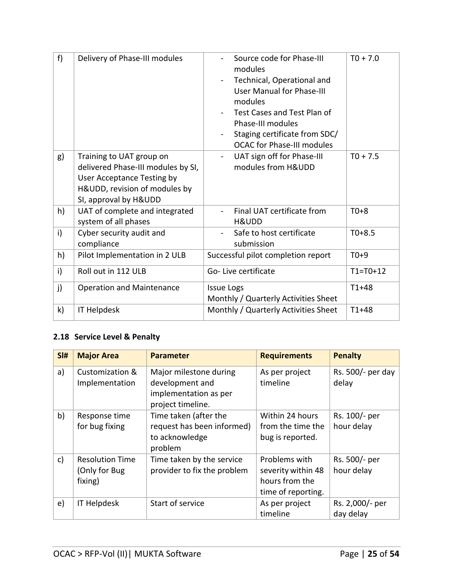| f) | Delivery of Phase-III modules                                                                                                                          | Source code for Phase-III<br>modules<br>Technical, Operational and<br>User Manual for Phase-III<br>modules<br>Test Cases and Test Plan of<br>Phase-III modules<br>Staging certificate from SDC/<br><b>OCAC for Phase-III modules</b> | $T0 + 7.0$     |
|----|--------------------------------------------------------------------------------------------------------------------------------------------------------|--------------------------------------------------------------------------------------------------------------------------------------------------------------------------------------------------------------------------------------|----------------|
| g) | Training to UAT group on<br>delivered Phase-III modules by SI,<br>User Acceptance Testing by<br>H&UDD, revision of modules by<br>SI, approval by H&UDD | UAT sign off for Phase-III<br>$\overline{\phantom{0}}$<br>modules from H&UDD                                                                                                                                                         | $T0 + 7.5$     |
| h) | UAT of complete and integrated<br>system of all phases                                                                                                 | Final UAT certificate from<br>H&UDD                                                                                                                                                                                                  | $T0+8$         |
| i) | Cyber security audit and<br>compliance                                                                                                                 | Safe to host certificate<br>submission                                                                                                                                                                                               | $T0+8.5$       |
| h) | Pilot Implementation in 2 ULB                                                                                                                          | Successful pilot completion report                                                                                                                                                                                                   | $T0+9$         |
| i) | Roll out in 112 ULB                                                                                                                                    | Go-Live certificate                                                                                                                                                                                                                  | $T1 = T0 + 12$ |
| j) | <b>Operation and Maintenance</b>                                                                                                                       | <b>Issue Logs</b><br>Monthly / Quarterly Activities Sheet                                                                                                                                                                            | $T1+48$        |
| k) | <b>IT Helpdesk</b>                                                                                                                                     | Monthly / Quarterly Activities Sheet                                                                                                                                                                                                 | $T1+48$        |

# <span id="page-25-0"></span>**2.18 Service Level & Penalty**

| SI#          | <b>Major Area</b>                                  | <b>Parameter</b>                                                                        | <b>Requirements</b>                                                         | <b>Penalty</b>               |
|--------------|----------------------------------------------------|-----------------------------------------------------------------------------------------|-----------------------------------------------------------------------------|------------------------------|
| a)           | Customization &<br>Implementation                  | Major milestone during<br>development and<br>implementation as per<br>project timeline. | As per project<br>timeline                                                  | Rs. 500/- per day<br>delay   |
| b)           | Response time<br>for bug fixing                    | Time taken (after the<br>request has been informed)<br>to acknowledge<br>problem        | Within 24 hours<br>from the time the<br>bug is reported.                    | Rs. 100/- per<br>hour delay  |
| $\mathsf{c}$ | <b>Resolution Time</b><br>(Only for Bug<br>fixing) | Time taken by the service<br>provider to fix the problem                                | Problems with<br>severity within 48<br>hours from the<br>time of reporting. | Rs. 500/- per<br>hour delay  |
| e)           | <b>IT Helpdesk</b>                                 | Start of service                                                                        | As per project<br>timeline                                                  | Rs. 2,000/- per<br>day delay |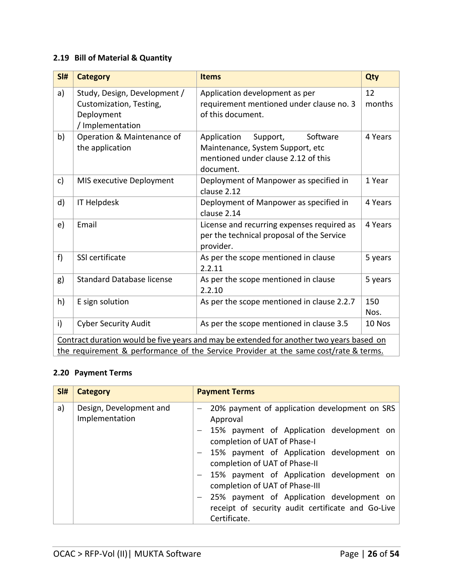# <span id="page-26-0"></span>**2.19 Bill of Material & Quantity**

| SI#                                                                                                                                                                              | <b>Category</b>                                                                           | <b>Items</b>                                                                                                                | Qty          |
|----------------------------------------------------------------------------------------------------------------------------------------------------------------------------------|-------------------------------------------------------------------------------------------|-----------------------------------------------------------------------------------------------------------------------------|--------------|
| a)                                                                                                                                                                               | Study, Design, Development /<br>Customization, Testing,<br>Deployment<br>/ Implementation | Application development as per<br>requirement mentioned under clause no. 3<br>of this document.                             | 12<br>months |
| b)                                                                                                                                                                               | Operation & Maintenance of<br>the application                                             | Application<br>Support,<br>Software<br>Maintenance, System Support, etc<br>mentioned under clause 2.12 of this<br>document. | 4 Years      |
| c)                                                                                                                                                                               | MIS executive Deployment                                                                  | Deployment of Manpower as specified in<br>clause 2.12                                                                       | 1 Year       |
| d)                                                                                                                                                                               | IT Helpdesk                                                                               | Deployment of Manpower as specified in<br>clause 2.14                                                                       | 4 Years      |
| e)                                                                                                                                                                               | Email                                                                                     | License and recurring expenses required as<br>per the technical proposal of the Service<br>provider.                        | 4 Years      |
| f)                                                                                                                                                                               | SSI certificate                                                                           | As per the scope mentioned in clause<br>2.2.11                                                                              | 5 years      |
| g)                                                                                                                                                                               | <b>Standard Database license</b>                                                          | As per the scope mentioned in clause<br>2.2.10                                                                              | 5 years      |
| h)                                                                                                                                                                               | E sign solution                                                                           | As per the scope mentioned in clause 2.2.7                                                                                  | 150<br>Nos.  |
| i)                                                                                                                                                                               | <b>Cyber Security Audit</b>                                                               | As per the scope mentioned in clause 3.5                                                                                    | 10 Nos       |
| Contract duration would be five years and may be extended for another two years based on<br>the requirement & performance of the Service Provider at the same cost/rate & terms. |                                                                                           |                                                                                                                             |              |

# <span id="page-26-1"></span>**2.20 Payment Terms**

| SI# | <b>Category</b>                           | <b>Payment Terms</b>                                                          |
|-----|-------------------------------------------|-------------------------------------------------------------------------------|
| a)  | Design, Development and<br>Implementation | 20% payment of application development on SRS<br>Approval                     |
|     |                                           | - 15% payment of Application development on<br>completion of UAT of Phase-I   |
|     |                                           | - 15% payment of Application development on<br>completion of UAT of Phase-II  |
|     |                                           | - 15% payment of Application development on<br>completion of UAT of Phase-III |
|     |                                           | - 25% payment of Application development on                                   |
|     |                                           | receipt of security audit certificate and Go-Live                             |
|     |                                           | Certificate.                                                                  |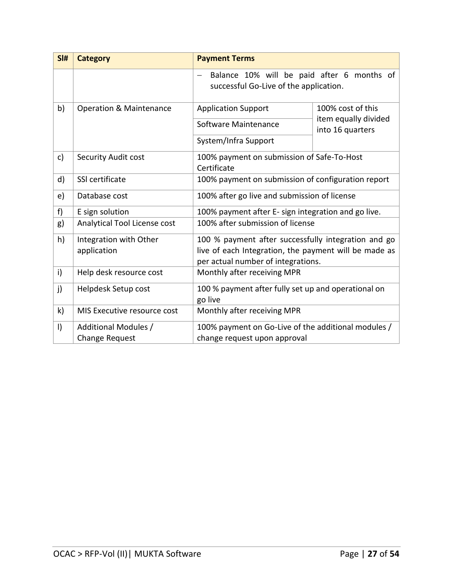| SI#          | <b>Category</b>                    | <b>Payment Terms</b>                                                                 |                                          |
|--------------|------------------------------------|--------------------------------------------------------------------------------------|------------------------------------------|
|              |                                    | Balance 10% will be paid after 6 months of<br>successful Go-Live of the application. |                                          |
| b)           | <b>Operation &amp; Maintenance</b> | <b>Application Support</b>                                                           | 100% cost of this                        |
|              |                                    | Software Maintenance                                                                 | item equally divided<br>into 16 quarters |
|              |                                    | System/Infra Support                                                                 |                                          |
| c)           | Security Audit cost                | 100% payment on submission of Safe-To-Host<br>Certificate                            |                                          |
| $\mathsf{d}$ | SSI certificate                    | 100% payment on submission of configuration report                                   |                                          |
| e)           | Database cost                      | 100% after go live and submission of license                                         |                                          |
| f)           | E sign solution                    | 100% payment after E- sign integration and go live.                                  |                                          |
| g)           | Analytical Tool License cost       | 100% after submission of license                                                     |                                          |
| h)           | Integration with Other             | 100 % payment after successfully integration and go                                  |                                          |
|              | application                        | live of each Integration, the payment will be made as                                |                                          |
|              |                                    | per actual number of integrations.                                                   |                                          |
| i)           | Help desk resource cost            | Monthly after receiving MPR                                                          |                                          |
| j)           | Helpdesk Setup cost                | 100 % payment after fully set up and operational on<br>go live                       |                                          |
| $\mathsf{k}$ | MIS Executive resource cost        | Monthly after receiving MPR                                                          |                                          |
| $\vert$      | Additional Modules /               | 100% payment on Go-Live of the additional modules /                                  |                                          |
|              | <b>Change Request</b>              | change request upon approval                                                         |                                          |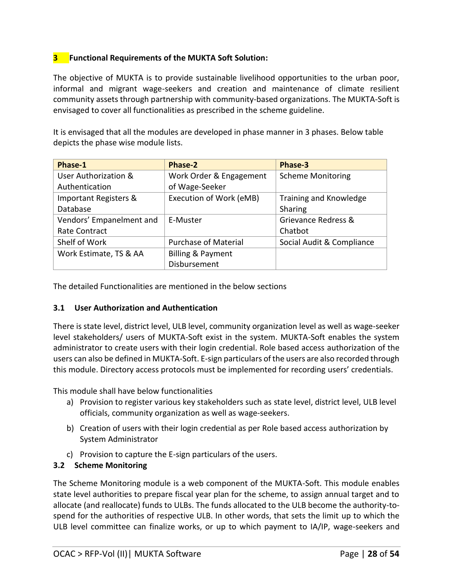# <span id="page-28-0"></span>**3 Functional Requirements of the MUKTA Soft Solution:**

The objective of MUKTA is to provide sustainable livelihood opportunities to the urban poor, informal and migrant wage-seekers and creation and maintenance of climate resilient community assets through partnership with community-based organizations. The MUKTA-Soft is envisaged to cover all functionalities as prescribed in the scheme guideline.

It is envisaged that all the modules are developed in phase manner in 3 phases. Below table depicts the phase wise module lists.

| Phase-1                  | Phase-2                      | Phase-3                   |
|--------------------------|------------------------------|---------------------------|
| User Authorization &     | Work Order & Engagement      | <b>Scheme Monitoring</b>  |
| Authentication           | of Wage-Seeker               |                           |
| Important Registers &    | Execution of Work (eMB)      | Training and Knowledge    |
| Database                 |                              | Sharing                   |
| Vendors' Empanelment and | E-Muster                     | Grievance Redress &       |
| <b>Rate Contract</b>     |                              | Chatbot                   |
| Shelf of Work            | <b>Purchase of Material</b>  | Social Audit & Compliance |
| Work Estimate, TS & AA   | <b>Billing &amp; Payment</b> |                           |
|                          | Disbursement                 |                           |

The detailed Functionalities are mentioned in the below sections

#### <span id="page-28-1"></span>**3.1 User Authorization and Authentication**

There is state level, district level, ULB level, community organization level as well as wage-seeker level stakeholders/ users of MUKTA-Soft exist in the system. MUKTA-Soft enables the system administrator to create users with their login credential. Role based access authorization of the users can also be defined in MUKTA-Soft. E-sign particulars of the users are also recorded through this module. Directory access protocols must be implemented for recording users' credentials.

This module shall have below functionalities

- a) Provision to register various key stakeholders such as state level, district level, ULB level officials, community organization as well as wage-seekers.
- b) Creation of users with their login credential as per Role based access authorization by System Administrator
- c) Provision to capture the E-sign particulars of the users.

#### <span id="page-28-2"></span>**3.2 Scheme Monitoring**

The Scheme Monitoring module is a web component of the MUKTA-Soft. This module enables state level authorities to prepare fiscal year plan for the scheme, to assign annual target and to allocate (and reallocate) funds to ULBs. The funds allocated to the ULB become the authority-tospend for the authorities of respective ULB. In other words, that sets the limit up to which the ULB level committee can finalize works, or up to which payment to IA/IP, wage-seekers and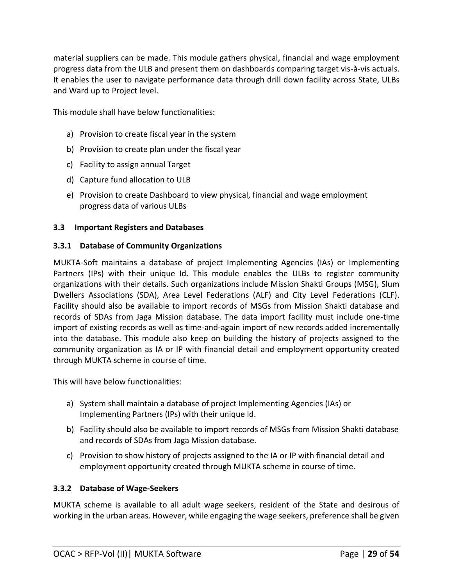material suppliers can be made. This module gathers physical, financial and wage employment progress data from the ULB and present them on dashboards comparing target vis-à-vis actuals. It enables the user to navigate performance data through drill down facility across State, ULBs and Ward up to Project level.

This module shall have below functionalities:

- a) Provision to create fiscal year in the system
- b) Provision to create plan under the fiscal year
- c) Facility to assign annual Target
- d) Capture fund allocation to ULB
- e) Provision to create Dashboard to view physical, financial and wage employment progress data of various ULBs

#### <span id="page-29-0"></span>**3.3 Important Registers and Databases**

#### <span id="page-29-1"></span>**3.3.1 Database of Community Organizations**

MUKTA-Soft maintains a database of project Implementing Agencies (IAs) or Implementing Partners (IPs) with their unique Id. This module enables the ULBs to register community organizations with their details. Such organizations include Mission Shakti Groups (MSG), Slum Dwellers Associations (SDA), Area Level Federations (ALF) and City Level Federations (CLF). Facility should also be available to import records of MSGs from Mission Shakti database and records of SDAs from Jaga Mission database. The data import facility must include one-time import of existing records as well as time-and-again import of new records added incrementally into the database. This module also keep on building the history of projects assigned to the community organization as IA or IP with financial detail and employment opportunity created through MUKTA scheme in course of time.

This will have below functionalities:

- a) System shall maintain a database of project Implementing Agencies (IAs) or Implementing Partners (IPs) with their unique Id.
- b) Facility should also be available to import records of MSGs from Mission Shakti database and records of SDAs from Jaga Mission database.
- c) Provision to show history of projects assigned to the IA or IP with financial detail and employment opportunity created through MUKTA scheme in course of time.

#### <span id="page-29-2"></span>**3.3.2 Database of Wage-Seekers**

MUKTA scheme is available to all adult wage seekers, resident of the State and desirous of working in the urban areas. However, while engaging the wage seekers, preference shall be given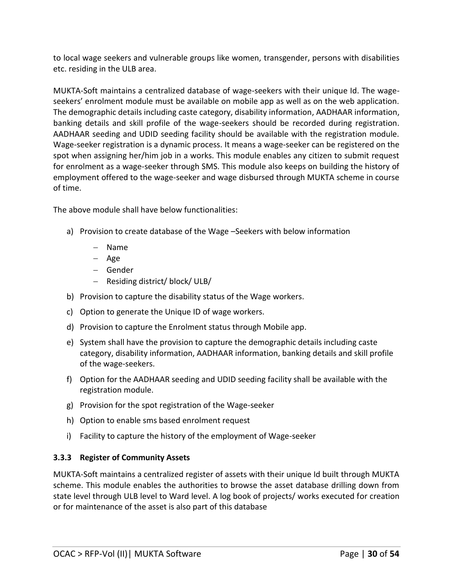to local wage seekers and vulnerable groups like women, transgender, persons with disabilities etc. residing in the ULB area.

MUKTA-Soft maintains a centralized database of wage-seekers with their unique Id. The wageseekers' enrolment module must be available on mobile app as well as on the web application. The demographic details including caste category, disability information, AADHAAR information, banking details and skill profile of the wage-seekers should be recorded during registration. AADHAAR seeding and UDID seeding facility should be available with the registration module. Wage-seeker registration is a dynamic process. It means a wage-seeker can be registered on the spot when assigning her/him job in a works. This module enables any citizen to submit request for enrolment as a wage-seeker through SMS. This module also keeps on building the history of employment offered to the wage-seeker and wage disbursed through MUKTA scheme in course of time.

The above module shall have below functionalities:

- a) Provision to create database of the Wage –Seekers with below information
	- − Name
	- − Age
	- − Gender
	- − Residing district/ block/ ULB/
- b) Provision to capture the disability status of the Wage workers.
- c) Option to generate the Unique ID of wage workers.
- d) Provision to capture the Enrolment status through Mobile app.
- e) System shall have the provision to capture the demographic details including caste category, disability information, AADHAAR information, banking details and skill profile of the wage-seekers.
- f) Option for the AADHAAR seeding and UDID seeding facility shall be available with the registration module.
- g) Provision for the spot registration of the Wage-seeker
- h) Option to enable sms based enrolment request
- i) Facility to capture the history of the employment of Wage-seeker

#### <span id="page-30-0"></span>**3.3.3 Register of Community Assets**

MUKTA-Soft maintains a centralized register of assets with their unique Id built through MUKTA scheme. This module enables the authorities to browse the asset database drilling down from state level through ULB level to Ward level. A log book of projects/ works executed for creation or for maintenance of the asset is also part of this database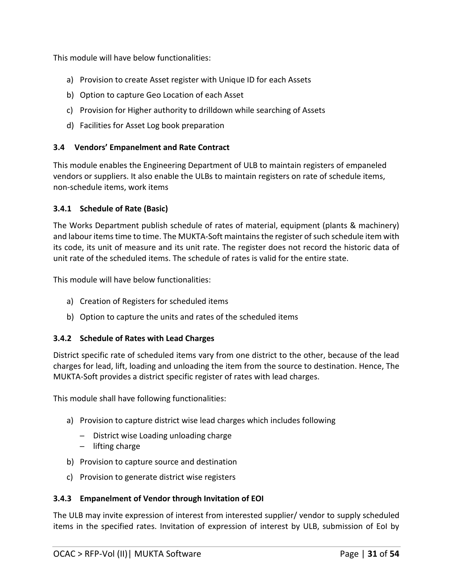This module will have below functionalities:

- a) Provision to create Asset register with Unique ID for each Assets
- b) Option to capture Geo Location of each Asset
- c) Provision for Higher authority to drilldown while searching of Assets
- d) Facilities for Asset Log book preparation

#### <span id="page-31-0"></span>**3.4 Vendors' Empanelment and Rate Contract**

This module enables the Engineering Department of ULB to maintain registers of empaneled vendors or suppliers. It also enable the ULBs to maintain registers on rate of schedule items, non-schedule items, work items

#### <span id="page-31-1"></span>**3.4.1 Schedule of Rate (Basic)**

The Works Department publish schedule of rates of material, equipment (plants & machinery) and labour items time to time. The MUKTA-Soft maintains the register of such schedule item with its code, its unit of measure and its unit rate. The register does not record the historic data of unit rate of the scheduled items. The schedule of rates is valid for the entire state.

This module will have below functionalities:

- a) Creation of Registers for scheduled items
- b) Option to capture the units and rates of the scheduled items

#### <span id="page-31-2"></span>**3.4.2 Schedule of Rates with Lead Charges**

District specific rate of scheduled items vary from one district to the other, because of the lead charges for lead, lift, loading and unloading the item from the source to destination. Hence, The MUKTA-Soft provides a district specific register of rates with lead charges.

This module shall have following functionalities:

- a) Provision to capture district wise lead charges which includes following
	- ─ District wise Loading unloading charge
	- ─ lifting charge
- b) Provision to capture source and destination
- c) Provision to generate district wise registers

#### <span id="page-31-3"></span>**3.4.3 Empanelment of Vendor through Invitation of EOI**

The ULB may invite expression of interest from interested supplier/ vendor to supply scheduled items in the specified rates. Invitation of expression of interest by ULB, submission of EoI by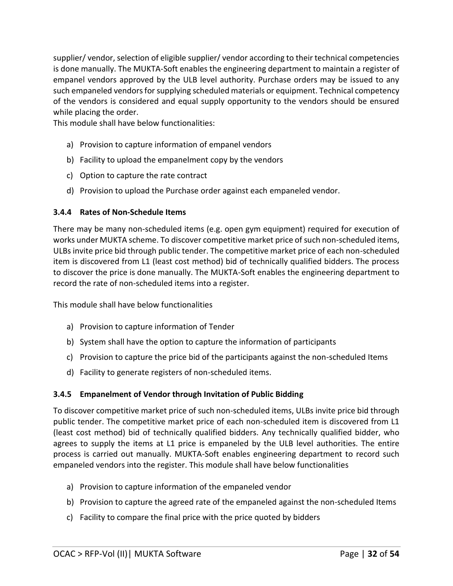supplier/ vendor, selection of eligible supplier/ vendor according to their technical competencies is done manually. The MUKTA-Soft enables the engineering department to maintain a register of empanel vendors approved by the ULB level authority. Purchase orders may be issued to any such empaneled vendors for supplying scheduled materials or equipment. Technical competency of the vendors is considered and equal supply opportunity to the vendors should be ensured while placing the order.

This module shall have below functionalities:

- a) Provision to capture information of empanel vendors
- b) Facility to upload the empanelment copy by the vendors
- c) Option to capture the rate contract
- d) Provision to upload the Purchase order against each empaneled vendor.

#### <span id="page-32-0"></span>**3.4.4 Rates of Non-Schedule Items**

There may be many non-scheduled items (e.g. open gym equipment) required for execution of works under MUKTA scheme. To discover competitive market price of such non-scheduled items, ULBs invite price bid through public tender. The competitive market price of each non-scheduled item is discovered from L1 (least cost method) bid of technically qualified bidders. The process to discover the price is done manually. The MUKTA-Soft enables the engineering department to record the rate of non-scheduled items into a register.

This module shall have below functionalities

- a) Provision to capture information of Tender
- b) System shall have the option to capture the information of participants
- c) Provision to capture the price bid of the participants against the non-scheduled Items
- d) Facility to generate registers of non-scheduled items.

#### <span id="page-32-1"></span>**3.4.5 Empanelment of Vendor through Invitation of Public Bidding**

To discover competitive market price of such non-scheduled items, ULBs invite price bid through public tender. The competitive market price of each non-scheduled item is discovered from L1 (least cost method) bid of technically qualified bidders. Any technically qualified bidder, who agrees to supply the items at L1 price is empaneled by the ULB level authorities. The entire process is carried out manually. MUKTA-Soft enables engineering department to record such empaneled vendors into the register. This module shall have below functionalities

- a) Provision to capture information of the empaneled vendor
- b) Provision to capture the agreed rate of the empaneled against the non-scheduled Items
- c) Facility to compare the final price with the price quoted by bidders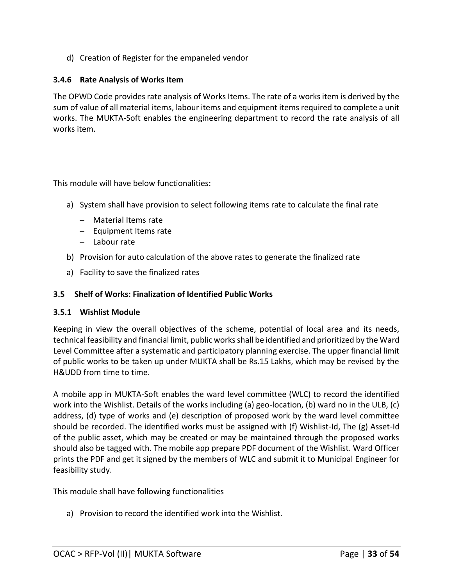d) Creation of Register for the empaneled vendor

#### <span id="page-33-0"></span>**3.4.6 Rate Analysis of Works Item**

The OPWD Code provides rate analysis of Works Items. The rate of a works item is derived by the sum of value of all material items, labour items and equipment items required to complete a unit works. The MUKTA-Soft enables the engineering department to record the rate analysis of all works item.

This module will have below functionalities:

- a) System shall have provision to select following items rate to calculate the final rate
	- ─ Material Items rate
	- ─ Equipment Items rate
	- ─ Labour rate
- b) Provision for auto calculation of the above rates to generate the finalized rate
- a) Facility to save the finalized rates

#### <span id="page-33-1"></span>**3.5 Shelf of Works: Finalization of Identified Public Works**

#### <span id="page-33-2"></span>**3.5.1 Wishlist Module**

Keeping in view the overall objectives of the scheme, potential of local area and its needs, technical feasibility and financial limit, public works shall be identified and prioritized by the Ward Level Committee after a systematic and participatory planning exercise. The upper financial limit of public works to be taken up under MUKTA shall be Rs.15 Lakhs, which may be revised by the H&UDD from time to time.

A mobile app in MUKTA-Soft enables the ward level committee (WLC) to record the identified work into the Wishlist. Details of the works including (a) geo-location, (b) ward no in the ULB, (c) address, (d) type of works and (e) description of proposed work by the ward level committee should be recorded. The identified works must be assigned with (f) Wishlist-Id, The (g) Asset-Id of the public asset, which may be created or may be maintained through the proposed works should also be tagged with. The mobile app prepare PDF document of the Wishlist. Ward Officer prints the PDF and get it signed by the members of WLC and submit it to Municipal Engineer for feasibility study.

This module shall have following functionalities

a) Provision to record the identified work into the Wishlist.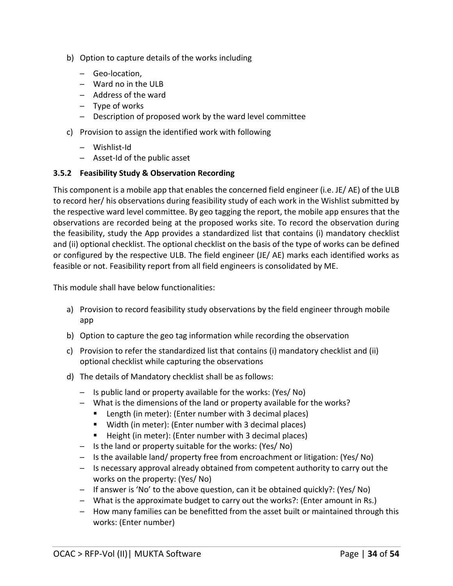- b) Option to capture details of the works including
	- ─ Geo-location,
	- ─ Ward no in the ULB
	- ─ Address of the ward
	- ─ Type of works
	- ─ Description of proposed work by the ward level committee
- c) Provision to assign the identified work with following
	- ─ Wishlist-Id
	- ─ Asset-Id of the public asset

#### <span id="page-34-0"></span>**3.5.2 Feasibility Study & Observation Recording**

This component is a mobile app that enables the concerned field engineer (i.e. JE/ AE) of the ULB to record her/ his observations during feasibility study of each work in the Wishlist submitted by the respective ward level committee. By geo tagging the report, the mobile app ensures that the observations are recorded being at the proposed works site. To record the observation during the feasibility, study the App provides a standardized list that contains (i) mandatory checklist and (ii) optional checklist. The optional checklist on the basis of the type of works can be defined or configured by the respective ULB. The field engineer (JE/ AE) marks each identified works as feasible or not. Feasibility report from all field engineers is consolidated by ME.

This module shall have below functionalities:

- a) Provision to record feasibility study observations by the field engineer through mobile app
- b) Option to capture the geo tag information while recording the observation
- c) Provision to refer the standardized list that contains (i) mandatory checklist and (ii) optional checklist while capturing the observations
- d) The details of Mandatory checklist shall be as follows:
	- ─ Is public land or property available for the works: (Yes/ No)
	- ─ What is the dimensions of the land or property available for the works?
		- Length (in meter): (Enter number with 3 decimal places)
		- Width (in meter): (Enter number with 3 decimal places)
		- Height (in meter): (Enter number with 3 decimal places)
	- ─ Is the land or property suitable for the works: (Yes/ No)
	- $-$  Is the available land/ property free from encroachment or litigation: (Yes/No)
	- $-$  Is necessary approval already obtained from competent authority to carry out the works on the property: (Yes/ No)
	- $-$  If answer is 'No' to the above question, can it be obtained quickly?: (Yes/ No)
	- ─ What is the approximate budget to carry out the works?: (Enter amount in Rs.)
	- $-$  How many families can be benefitted from the asset built or maintained through this works: (Enter number)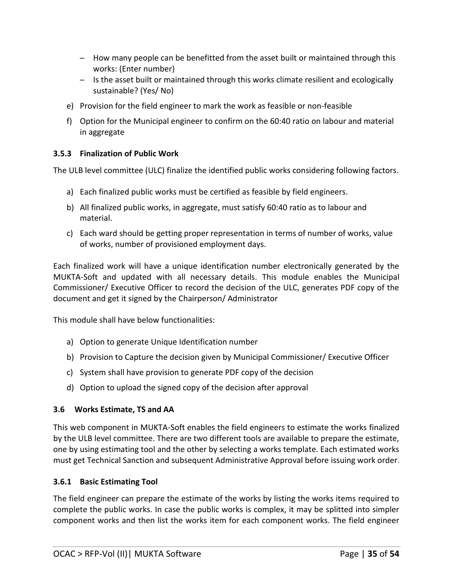- ─ How many people can be benefitted from the asset built or maintained through this works: (Enter number)
- $-$  Is the asset built or maintained through this works climate resilient and ecologically sustainable? (Yes/ No)
- e) Provision for the field engineer to mark the work as feasible or non-feasible
- f) Option for the Municipal engineer to confirm on the 60:40 ratio on labour and material in aggregate

# <span id="page-35-0"></span>**3.5.3 Finalization of Public Work**

The ULB level committee (ULC) finalize the identified public works considering following factors.

- a) Each finalized public works must be certified as feasible by field engineers.
- b) All finalized public works, in aggregate, must satisfy 60:40 ratio as to labour and material.
- c) Each ward should be getting proper representation in terms of number of works, value of works, number of provisioned employment days.

Each finalized work will have a unique identification number electronically generated by the MUKTA-Soft and updated with all necessary details. This module enables the Municipal Commissioner/ Executive Officer to record the decision of the ULC, generates PDF copy of the document and get it signed by the Chairperson/ Administrator

This module shall have below functionalities:

- a) Option to generate Unique Identification number
- b) Provision to Capture the decision given by Municipal Commissioner/ Executive Officer
- c) System shall have provision to generate PDF copy of the decision
- d) Option to upload the signed copy of the decision after approval

# <span id="page-35-1"></span>**3.6 Works Estimate, TS and AA**

This web component in MUKTA-Soft enables the field engineers to estimate the works finalized by the ULB level committee. There are two different tools are available to prepare the estimate, one by using estimating tool and the other by selecting a works template. Each estimated works must get Technical Sanction and subsequent Administrative Approval before issuing work order.

# <span id="page-35-2"></span>**3.6.1 Basic Estimating Tool**

The field engineer can prepare the estimate of the works by listing the works items required to complete the public works. In case the public works is complex, it may be splitted into simpler component works and then list the works item for each component works. The field engineer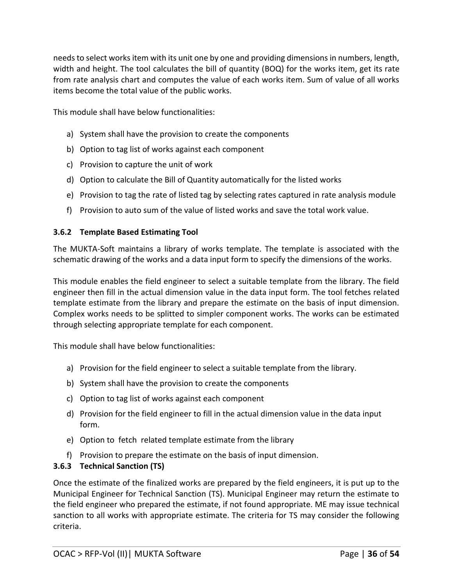needs to select works item with its unit one by one and providing dimensions in numbers, length, width and height. The tool calculates the bill of quantity (BOQ) for the works item, get its rate from rate analysis chart and computes the value of each works item. Sum of value of all works items become the total value of the public works.

This module shall have below functionalities:

- a) System shall have the provision to create the components
- b) Option to tag list of works against each component
- c) Provision to capture the unit of work
- d) Option to calculate the Bill of Quantity automatically for the listed works
- e) Provision to tag the rate of listed tag by selecting rates captured in rate analysis module
- f) Provision to auto sum of the value of listed works and save the total work value.

#### <span id="page-36-0"></span>**3.6.2 Template Based Estimating Tool**

The MUKTA-Soft maintains a library of works template. The template is associated with the schematic drawing of the works and a data input form to specify the dimensions of the works.

This module enables the field engineer to select a suitable template from the library. The field engineer then fill in the actual dimension value in the data input form. The tool fetches related template estimate from the library and prepare the estimate on the basis of input dimension. Complex works needs to be splitted to simpler component works. The works can be estimated through selecting appropriate template for each component.

This module shall have below functionalities:

- a) Provision for the field engineer to select a suitable template from the library.
- b) System shall have the provision to create the components
- c) Option to tag list of works against each component
- d) Provision for the field engineer to fill in the actual dimension value in the data input form.
- e) Option to fetch related template estimate from the library
- f) Provision to prepare the estimate on the basis of input dimension.

#### <span id="page-36-1"></span>**3.6.3 Technical Sanction (TS)**

Once the estimate of the finalized works are prepared by the field engineers, it is put up to the Municipal Engineer for Technical Sanction (TS). Municipal Engineer may return the estimate to the field engineer who prepared the estimate, if not found appropriate. ME may issue technical sanction to all works with appropriate estimate. The criteria for TS may consider the following criteria.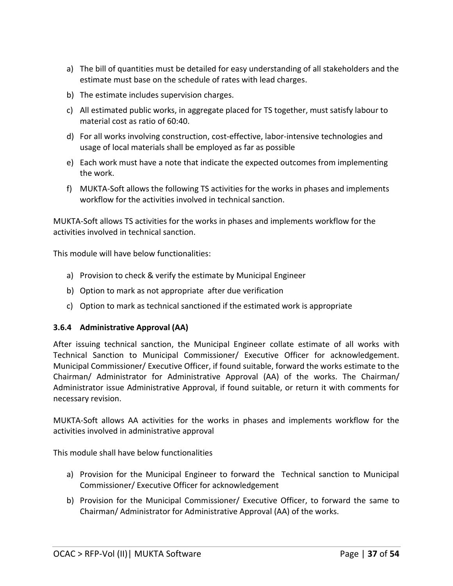- a) The bill of quantities must be detailed for easy understanding of all stakeholders and the estimate must base on the schedule of rates with lead charges.
- b) The estimate includes supervision charges.
- c) All estimated public works, in aggregate placed for TS together, must satisfy labour to material cost as ratio of 60:40.
- d) For all works involving construction, cost-effective, labor-intensive technologies and usage of local materials shall be employed as far as possible
- e) Each work must have a note that indicate the expected outcomes from implementing the work.
- f) MUKTA-Soft allows the following TS activities for the works in phases and implements workflow for the activities involved in technical sanction.

MUKTA-Soft allows TS activities for the works in phases and implements workflow for the activities involved in technical sanction.

This module will have below functionalities:

- a) Provision to check & verify the estimate by Municipal Engineer
- b) Option to mark as not appropriate after due verification
- c) Option to mark as technical sanctioned if the estimated work is appropriate

#### <span id="page-37-0"></span>**3.6.4 Administrative Approval (AA)**

After issuing technical sanction, the Municipal Engineer collate estimate of all works with Technical Sanction to Municipal Commissioner/ Executive Officer for acknowledgement. Municipal Commissioner/ Executive Officer, if found suitable, forward the works estimate to the Chairman/ Administrator for Administrative Approval (AA) of the works. The Chairman/ Administrator issue Administrative Approval, if found suitable, or return it with comments for necessary revision.

MUKTA-Soft allows AA activities for the works in phases and implements workflow for the activities involved in administrative approval

This module shall have below functionalities

- a) Provision for the Municipal Engineer to forward the Technical sanction to Municipal Commissioner/ Executive Officer for acknowledgement
- b) Provision for the Municipal Commissioner/ Executive Officer, to forward the same to Chairman/ Administrator for Administrative Approval (AA) of the works.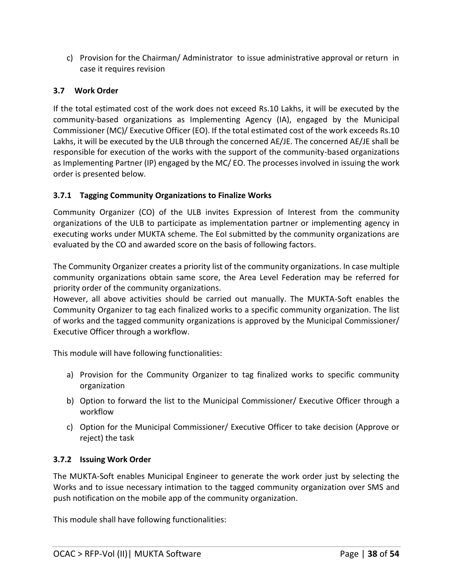c) Provision for the Chairman/ Administrator to issue administrative approval or return in case it requires revision

# <span id="page-38-0"></span>**3.7 Work Order**

If the total estimated cost of the work does not exceed Rs.10 Lakhs, it will be executed by the community-based organizations as Implementing Agency (IA), engaged by the Municipal Commissioner (MC)/ Executive Officer (EO). If the total estimated cost of the work exceeds Rs.10 Lakhs, it will be executed by the ULB through the concerned AE/JE. The concerned AE/JE shall be responsible for execution of the works with the support of the community-based organizations as Implementing Partner (IP) engaged by the MC/ EO. The processes involved in issuing the work order is presented below.

# <span id="page-38-1"></span>**3.7.1 Tagging Community Organizations to Finalize Works**

Community Organizer (CO) of the ULB invites Expression of Interest from the community organizations of the ULB to participate as implementation partner or implementing agency in executing works under MUKTA scheme. The EoI submitted by the community organizations are evaluated by the CO and awarded score on the basis of following factors.

The Community Organizer creates a priority list of the community organizations. In case multiple community organizations obtain same score, the Area Level Federation may be referred for priority order of the community organizations.

However, all above activities should be carried out manually. The MUKTA-Soft enables the Community Organizer to tag each finalized works to a specific community organization. The list of works and the tagged community organizations is approved by the Municipal Commissioner/ Executive Officer through a workflow.

This module will have following functionalities:

- a) Provision for the Community Organizer to tag finalized works to specific community organization
- b) Option to forward the list to the Municipal Commissioner/ Executive Officer through a workflow
- c) Option for the Municipal Commissioner/ Executive Officer to take decision (Approve or reject) the task

# <span id="page-38-2"></span>**3.7.2 Issuing Work Order**

The MUKTA-Soft enables Municipal Engineer to generate the work order just by selecting the Works and to issue necessary intimation to the tagged community organization over SMS and push notification on the mobile app of the community organization.

This module shall have following functionalities: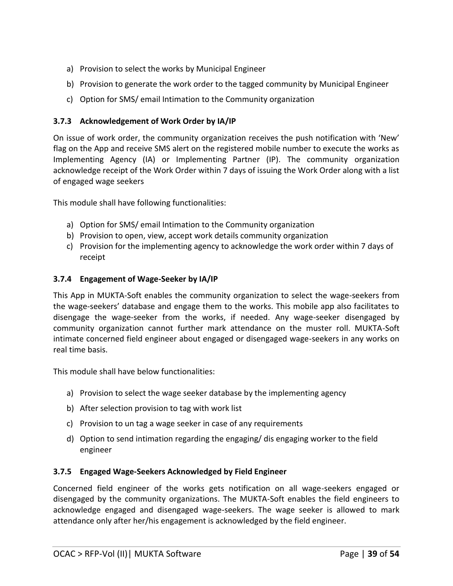- a) Provision to select the works by Municipal Engineer
- b) Provision to generate the work order to the tagged community by Municipal Engineer
- c) Option for SMS/ email Intimation to the Community organization

#### <span id="page-39-0"></span>**3.7.3 Acknowledgement of Work Order by IA/IP**

On issue of work order, the community organization receives the push notification with 'New' flag on the App and receive SMS alert on the registered mobile number to execute the works as Implementing Agency (IA) or Implementing Partner (IP). The community organization acknowledge receipt of the Work Order within 7 days of issuing the Work Order along with a list of engaged wage seekers

This module shall have following functionalities:

- a) Option for SMS/ email Intimation to the Community organization
- b) Provision to open, view, accept work details community organization
- c) Provision for the implementing agency to acknowledge the work order within 7 days of receipt

#### <span id="page-39-1"></span>**3.7.4 Engagement of Wage-Seeker by IA/IP**

This App in MUKTA-Soft enables the community organization to select the wage-seekers from the wage-seekers' database and engage them to the works. This mobile app also facilitates to disengage the wage-seeker from the works, if needed. Any wage-seeker disengaged by community organization cannot further mark attendance on the muster roll. MUKTA-Soft intimate concerned field engineer about engaged or disengaged wage-seekers in any works on real time basis.

This module shall have below functionalities:

- a) Provision to select the wage seeker database by the implementing agency
- b) After selection provision to tag with work list
- c) Provision to un tag a wage seeker in case of any requirements
- d) Option to send intimation regarding the engaging/ dis engaging worker to the field engineer

#### <span id="page-39-2"></span>**3.7.5 Engaged Wage-Seekers Acknowledged by Field Engineer**

Concerned field engineer of the works gets notification on all wage-seekers engaged or disengaged by the community organizations. The MUKTA-Soft enables the field engineers to acknowledge engaged and disengaged wage-seekers. The wage seeker is allowed to mark attendance only after her/his engagement is acknowledged by the field engineer.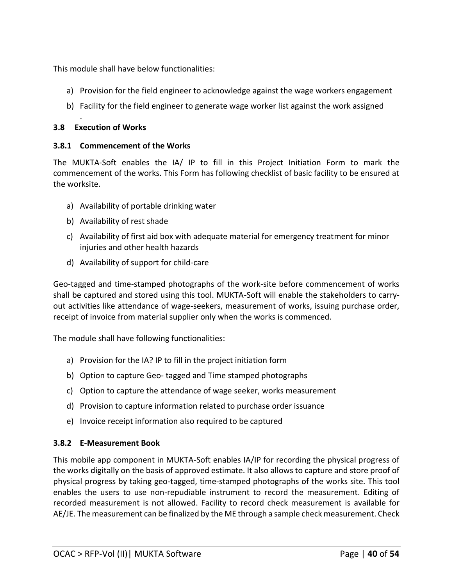This module shall have below functionalities:

- a) Provision for the field engineer to acknowledge against the wage workers engagement
- b) Facility for the field engineer to generate wage worker list against the work assigned

#### <span id="page-40-0"></span>**3.8 Execution of Works**

.

#### <span id="page-40-1"></span>**3.8.1 Commencement of the Works**

The MUKTA-Soft enables the IA/ IP to fill in this Project Initiation Form to mark the commencement of the works. This Form has following checklist of basic facility to be ensured at the worksite.

- a) Availability of portable drinking water
- b) Availability of rest shade
- c) Availability of first aid box with adequate material for emergency treatment for minor injuries and other health hazards
- d) Availability of support for child-care

Geo-tagged and time-stamped photographs of the work-site before commencement of works shall be captured and stored using this tool. MUKTA-Soft will enable the stakeholders to carryout activities like attendance of wage-seekers, measurement of works, issuing purchase order, receipt of invoice from material supplier only when the works is commenced.

The module shall have following functionalities:

- a) Provision for the IA? IP to fill in the project initiation form
- b) Option to capture Geo- tagged and Time stamped photographs
- c) Option to capture the attendance of wage seeker, works measurement
- d) Provision to capture information related to purchase order issuance
- e) Invoice receipt information also required to be captured

#### <span id="page-40-2"></span>**3.8.2 E-Measurement Book**

This mobile app component in MUKTA-Soft enables IA/IP for recording the physical progress of the works digitally on the basis of approved estimate. It also allows to capture and store proof of physical progress by taking geo-tagged, time-stamped photographs of the works site. This tool enables the users to use non-repudiable instrument to record the measurement. Editing of recorded measurement is not allowed. Facility to record check measurement is available for AE/JE. The measurement can be finalized by the ME through a sample check measurement. Check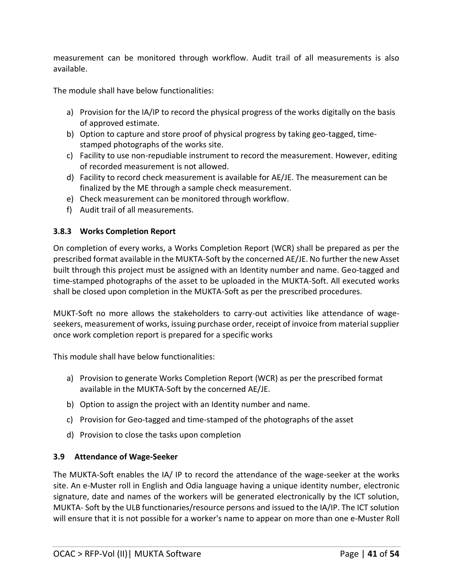measurement can be monitored through workflow. Audit trail of all measurements is also available.

The module shall have below functionalities:

- a) Provision for the IA/IP to record the physical progress of the works digitally on the basis of approved estimate.
- b) Option to capture and store proof of physical progress by taking geo-tagged, timestamped photographs of the works site.
- c) Facility to use non-repudiable instrument to record the measurement. However, editing of recorded measurement is not allowed.
- d) Facility to record check measurement is available for AE/JE. The measurement can be finalized by the ME through a sample check measurement.
- e) Check measurement can be monitored through workflow.
- f) Audit trail of all measurements.

#### <span id="page-41-0"></span>**3.8.3 Works Completion Report**

On completion of every works, a Works Completion Report (WCR) shall be prepared as per the prescribed format available in the MUKTA-Soft by the concerned AE/JE. No further the new Asset built through this project must be assigned with an Identity number and name. Geo-tagged and time-stamped photographs of the asset to be uploaded in the MUKTA-Soft. All executed works shall be closed upon completion in the MUKTA-Soft as per the prescribed procedures.

MUKT-Soft no more allows the stakeholders to carry-out activities like attendance of wageseekers, measurement of works, issuing purchase order, receipt of invoice from material supplier once work completion report is prepared for a specific works

This module shall have below functionalities:

- a) Provision to generate Works Completion Report (WCR) as per the prescribed format available in the MUKTA-Soft by the concerned AE/JE.
- b) Option to assign the project with an Identity number and name.
- c) Provision for Geo-tagged and time-stamped of the photographs of the asset
- d) Provision to close the tasks upon completion

#### <span id="page-41-1"></span>**3.9 Attendance of Wage-Seeker**

The MUKTA-Soft enables the IA/ IP to record the attendance of the wage-seeker at the works site. An e-Muster roll in English and Odia language having a unique identity number, electronic signature, date and names of the workers will be generated electronically by the ICT solution, MUKTA- Soft by the ULB functionaries/resource persons and issued to the IA/IP. The ICT solution will ensure that it is not possible for a worker's name to appear on more than one e-Muster Roll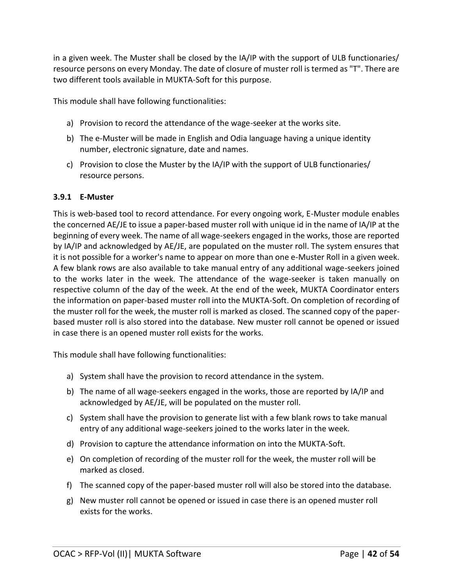in a given week. The Muster shall be closed by the IA/IP with the support of ULB functionaries/ resource persons on every Monday. The date of closure of muster roll is termed as "T". There are two different tools available in MUKTA-Soft for this purpose.

This module shall have following functionalities:

- a) Provision to record the attendance of the wage-seeker at the works site.
- b) The e-Muster will be made in English and Odia language having a unique identity number, electronic signature, date and names.
- c) Provision to close the Muster by the IA/IP with the support of ULB functionaries/ resource persons.

#### <span id="page-42-0"></span>**3.9.1 E-Muster**

This is web-based tool to record attendance. For every ongoing work, E-Muster module enables the concerned AE/JE to issue a paper-based muster roll with unique id in the name of IA/IP at the beginning of every week. The name of all wage-seekers engaged in the works, those are reported by IA/IP and acknowledged by AE/JE, are populated on the muster roll. The system ensures that it is not possible for a worker's name to appear on more than one e-Muster Roll in a given week. A few blank rows are also available to take manual entry of any additional wage-seekers joined to the works later in the week. The attendance of the wage-seeker is taken manually on respective column of the day of the week. At the end of the week, MUKTA Coordinator enters the information on paper-based muster roll into the MUKTA-Soft. On completion of recording of the muster roll for the week, the muster roll is marked as closed. The scanned copy of the paperbased muster roll is also stored into the database. New muster roll cannot be opened or issued in case there is an opened muster roll exists for the works.

This module shall have following functionalities:

- a) System shall have the provision to record attendance in the system.
- b) The name of all wage-seekers engaged in the works, those are reported by IA/IP and acknowledged by AE/JE, will be populated on the muster roll.
- c) System shall have the provision to generate list with a few blank rows to take manual entry of any additional wage-seekers joined to the works later in the week.
- d) Provision to capture the attendance information on into the MUKTA-Soft.
- e) On completion of recording of the muster roll for the week, the muster roll will be marked as closed.
- f) The scanned copy of the paper-based muster roll will also be stored into the database.
- g) New muster roll cannot be opened or issued in case there is an opened muster roll exists for the works.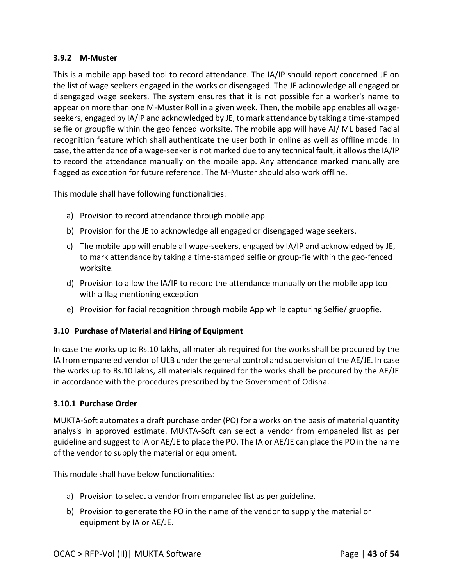#### <span id="page-43-0"></span>**3.9.2 M-Muster**

This is a mobile app based tool to record attendance. The IA/IP should report concerned JE on the list of wage seekers engaged in the works or disengaged. The JE acknowledge all engaged or disengaged wage seekers. The system ensures that it is not possible for a worker's name to appear on more than one M-Muster Roll in a given week. Then, the mobile app enables all wageseekers, engaged by IA/IP and acknowledged by JE, to mark attendance by taking a time-stamped selfie or groupfie within the geo fenced worksite. The mobile app will have AI/ ML based Facial recognition feature which shall authenticate the user both in online as well as offline mode. In case, the attendance of a wage-seeker is not marked due to any technical fault, it allows the IA/IP to record the attendance manually on the mobile app. Any attendance marked manually are flagged as exception for future reference. The M-Muster should also work offline.

This module shall have following functionalities:

- a) Provision to record attendance through mobile app
- b) Provision for the JE to acknowledge all engaged or disengaged wage seekers.
- c) The mobile app will enable all wage-seekers, engaged by IA/IP and acknowledged by JE, to mark attendance by taking a time-stamped selfie or group-fie within the geo-fenced worksite.
- d) Provision to allow the IA/IP to record the attendance manually on the mobile app too with a flag mentioning exception
- e) Provision for facial recognition through mobile App while capturing Selfie/ gruopfie.

#### <span id="page-43-1"></span>**3.10 Purchase of Material and Hiring of Equipment**

In case the works up to Rs.10 lakhs, all materials required for the works shall be procured by the IA from empaneled vendor of ULB under the general control and supervision of the AE/JE. In case the works up to Rs.10 lakhs, all materials required for the works shall be procured by the AE/JE in accordance with the procedures prescribed by the Government of Odisha.

#### <span id="page-43-2"></span>**3.10.1 Purchase Order**

MUKTA-Soft automates a draft purchase order (PO) for a works on the basis of material quantity analysis in approved estimate. MUKTA-Soft can select a vendor from empaneled list as per guideline and suggest to IA or AE/JE to place the PO. The IA or AE/JE can place the PO in the name of the vendor to supply the material or equipment.

This module shall have below functionalities:

- a) Provision to select a vendor from empaneled list as per guideline.
- b) Provision to generate the PO in the name of the vendor to supply the material or equipment by IA or AE/JE.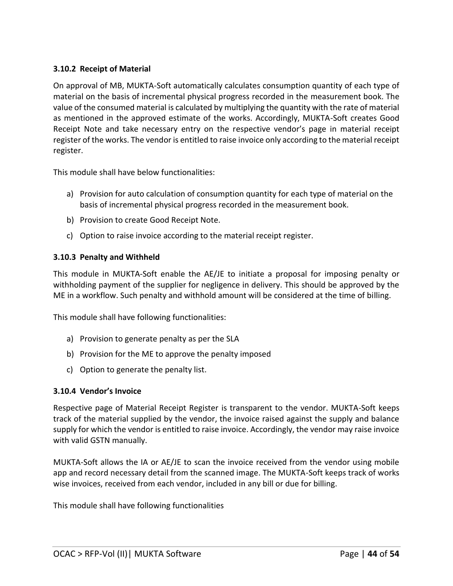#### <span id="page-44-0"></span>**3.10.2 Receipt of Material**

On approval of MB, MUKTA-Soft automatically calculates consumption quantity of each type of material on the basis of incremental physical progress recorded in the measurement book. The value of the consumed material is calculated by multiplying the quantity with the rate of material as mentioned in the approved estimate of the works. Accordingly, MUKTA-Soft creates Good Receipt Note and take necessary entry on the respective vendor's page in material receipt register of the works. The vendor is entitled to raise invoice only according to the material receipt register.

This module shall have below functionalities:

- a) Provision for auto calculation of consumption quantity for each type of material on the basis of incremental physical progress recorded in the measurement book.
- b) Provision to create Good Receipt Note.
- c) Option to raise invoice according to the material receipt register.

#### <span id="page-44-1"></span>**3.10.3 Penalty and Withheld**

This module in MUKTA-Soft enable the AE/JE to initiate a proposal for imposing penalty or withholding payment of the supplier for negligence in delivery. This should be approved by the ME in a workflow. Such penalty and withhold amount will be considered at the time of billing.

This module shall have following functionalities:

- a) Provision to generate penalty as per the SLA
- b) Provision for the ME to approve the penalty imposed
- c) Option to generate the penalty list.

#### <span id="page-44-2"></span>**3.10.4 Vendor's Invoice**

Respective page of Material Receipt Register is transparent to the vendor. MUKTA-Soft keeps track of the material supplied by the vendor, the invoice raised against the supply and balance supply for which the vendor is entitled to raise invoice. Accordingly, the vendor may raise invoice with valid GSTN manually.

MUKTA-Soft allows the IA or AE/JE to scan the invoice received from the vendor using mobile app and record necessary detail from the scanned image. The MUKTA-Soft keeps track of works wise invoices, received from each vendor, included in any bill or due for billing.

This module shall have following functionalities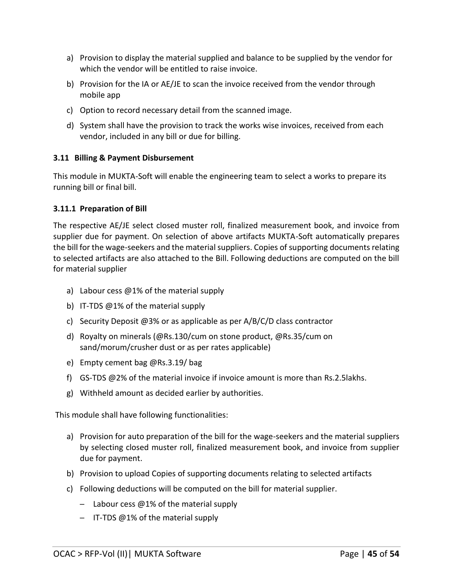- a) Provision to display the material supplied and balance to be supplied by the vendor for which the vendor will be entitled to raise invoice.
- b) Provision for the IA or AE/JE to scan the invoice received from the vendor through mobile app
- c) Option to record necessary detail from the scanned image.
- d) System shall have the provision to track the works wise invoices, received from each vendor, included in any bill or due for billing.

#### <span id="page-45-0"></span>**3.11 Billing & Payment Disbursement**

This module in MUKTA-Soft will enable the engineering team to select a works to prepare its running bill or final bill.

#### <span id="page-45-1"></span>**3.11.1 Preparation of Bill**

The respective AE/JE select closed muster roll, finalized measurement book, and invoice from supplier due for payment. On selection of above artifacts MUKTA-Soft automatically prepares the bill for the wage-seekers and the material suppliers. Copies of supporting documents relating to selected artifacts are also attached to the Bill. Following deductions are computed on the bill for material supplier

- a) Labour cess @1% of the material supply
- b) IT-TDS @1% of the material supply
- c) Security Deposit @3% or as applicable as per A/B/C/D class contractor
- d) Royalty on minerals (@Rs.130/cum on stone product, @Rs.35/cum on sand/morum/crusher dust or as per rates applicable)
- e) Empty cement bag @Rs.3.19/ bag
- f) GS-TDS @2% of the material invoice if invoice amount is more than Rs.2.5lakhs.
- g) Withheld amount as decided earlier by authorities.

This module shall have following functionalities:

- a) Provision for auto preparation of the bill for the wage-seekers and the material suppliers by selecting closed muster roll, finalized measurement book, and invoice from supplier due for payment.
- b) Provision to upload Copies of supporting documents relating to selected artifacts
- c) Following deductions will be computed on the bill for material supplier.
	- ─ Labour cess @1% of the material supply
	- ─ IT-TDS @1% of the material supply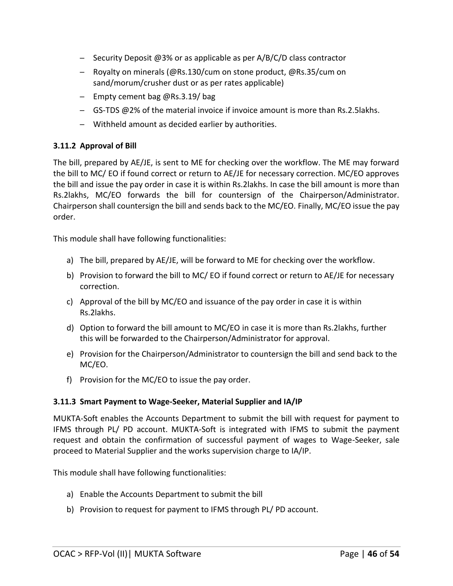- ─ Security Deposit @3% or as applicable as per A/B/C/D class contractor
- ─ Royalty on minerals (@Rs.130/cum on stone product, @Rs.35/cum on sand/morum/crusher dust or as per rates applicable)
- ─ Empty cement bag @Rs.3.19/ bag
- $-$  GS-TDS @2% of the material invoice if invoice amount is more than Rs.2.5 lakhs.
- ─ Withheld amount as decided earlier by authorities.

#### <span id="page-46-0"></span>**3.11.2 Approval of Bill**

The bill, prepared by AE/JE, is sent to ME for checking over the workflow. The ME may forward the bill to MC/ EO if found correct or return to AE/JE for necessary correction. MC/EO approves the bill and issue the pay order in case it is within Rs.2lakhs. In case the bill amount is more than Rs.2lakhs, MC/EO forwards the bill for countersign of the Chairperson/Administrator. Chairperson shall countersign the bill and sends back to the MC/EO. Finally, MC/EO issue the pay order.

This module shall have following functionalities:

- a) The bill, prepared by AE/JE, will be forward to ME for checking over the workflow.
- b) Provision to forward the bill to MC/ EO if found correct or return to AE/JE for necessary correction.
- c) Approval of the bill by MC/EO and issuance of the pay order in case it is within Rs.2lakhs.
- d) Option to forward the bill amount to MC/EO in case it is more than Rs.2lakhs, further this will be forwarded to the Chairperson/Administrator for approval.
- e) Provision for the Chairperson/Administrator to countersign the bill and send back to the MC/EO.
- f) Provision for the MC/EO to issue the pay order.

#### <span id="page-46-1"></span>**3.11.3 Smart Payment to Wage-Seeker, Material Supplier and IA/IP**

MUKTA-Soft enables the Accounts Department to submit the bill with request for payment to IFMS through PL/ PD account. MUKTA-Soft is integrated with IFMS to submit the payment request and obtain the confirmation of successful payment of wages to Wage-Seeker, sale proceed to Material Supplier and the works supervision charge to IA/IP.

This module shall have following functionalities:

- a) Enable the Accounts Department to submit the bill
- b) Provision to request for payment to IFMS through PL/ PD account.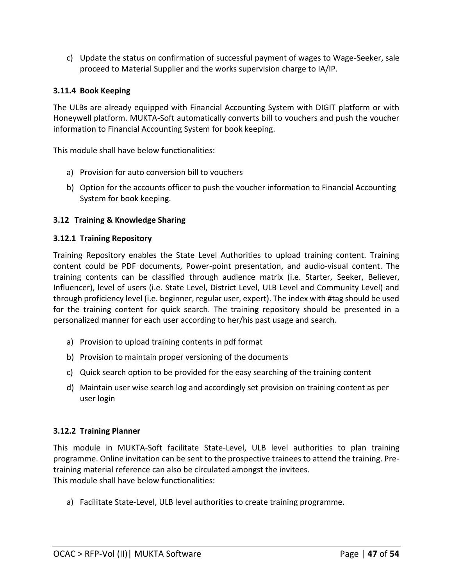c) Update the status on confirmation of successful payment of wages to Wage-Seeker, sale proceed to Material Supplier and the works supervision charge to IA/IP.

#### <span id="page-47-0"></span>**3.11.4 Book Keeping**

The ULBs are already equipped with Financial Accounting System with DIGIT platform or with Honeywell platform. MUKTA-Soft automatically converts bill to vouchers and push the voucher information to Financial Accounting System for book keeping.

This module shall have below functionalities:

- a) Provision for auto conversion bill to vouchers
- b) Option for the accounts officer to push the voucher information to Financial Accounting System for book keeping.

#### <span id="page-47-1"></span>**3.12 Training & Knowledge Sharing**

#### <span id="page-47-2"></span>**3.12.1 Training Repository**

Training Repository enables the State Level Authorities to upload training content. Training content could be PDF documents, Power-point presentation, and audio-visual content. The training contents can be classified through audience matrix (i.e. Starter, Seeker, Believer, Influencer), level of users (i.e. State Level, District Level, ULB Level and Community Level) and through proficiency level (i.e. beginner, regular user, expert). The index with #tag should be used for the training content for quick search. The training repository should be presented in a personalized manner for each user according to her/his past usage and search.

- a) Provision to upload training contents in pdf format
- b) Provision to maintain proper versioning of the documents
- c) Quick search option to be provided for the easy searching of the training content
- d) Maintain user wise search log and accordingly set provision on training content as per user login

#### <span id="page-47-3"></span>**3.12.2 Training Planner**

This module in MUKTA-Soft facilitate State-Level, ULB level authorities to plan training programme. Online invitation can be sent to the prospective trainees to attend the training. Pretraining material reference can also be circulated amongst the invitees. This module shall have below functionalities:

a) Facilitate State-Level, ULB level authorities to create training programme.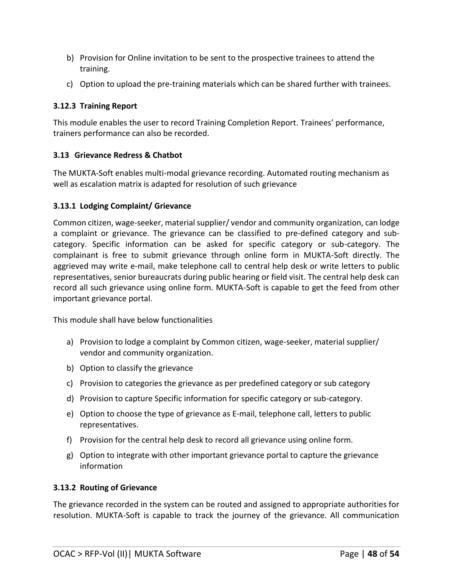- b) Provision for Online invitation to be sent to the prospective trainees to attend the training.
- c) Option to upload the pre-training materials which can be shared further with trainees.

# <span id="page-48-0"></span>**3.12.3 Training Report**

This module enables the user to record Training Completion Report. Trainees' performance, trainers performance can also be recorded.

# <span id="page-48-1"></span>**3.13 Grievance Redress & Chatbot**

The MUKTA-Soft enables multi-modal grievance recording. Automated routing mechanism as well as escalation matrix is adapted for resolution of such grievance

# <span id="page-48-2"></span>**3.13.1 Lodging Complaint/ Grievance**

Common citizen, wage-seeker, material supplier/ vendor and community organization, can lodge a complaint or grievance. The grievance can be classified to pre-defined category and subcategory. Specific information can be asked for specific category or sub-category. The complainant is free to submit grievance through online form in MUKTA-Soft directly. The aggrieved may write e-mail, make telephone call to central help desk or write letters to public representatives, senior bureaucrats during public hearing or field visit. The central help desk can record all such grievance using online form. MUKTA-Soft is capable to get the feed from other important grievance portal.

This module shall have below functionalities

- a) Provision to lodge a complaint by Common citizen, wage-seeker, material supplier/ vendor and community organization.
- b) Option to classify the grievance
- c) Provision to categories the grievance as per predefined category or sub category
- d) Provision to capture Specific information for specific category or sub-category.
- e) Option to choose the type of grievance as E-mail, telephone call, letters to public representatives.
- f) Provision for the central help desk to record all grievance using online form.
- g) Option to integrate with other important grievance portal to capture the grievance information

# <span id="page-48-3"></span>**3.13.2 Routing of Grievance**

The grievance recorded in the system can be routed and assigned to appropriate authorities for resolution. MUKTA-Soft is capable to track the journey of the grievance. All communication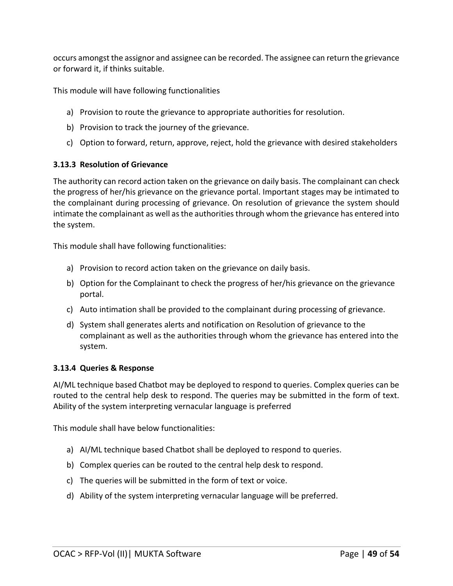occurs amongst the assignor and assignee can be recorded. The assignee can return the grievance or forward it, if thinks suitable.

This module will have following functionalities

- a) Provision to route the grievance to appropriate authorities for resolution.
- b) Provision to track the journey of the grievance.
- c) Option to forward, return, approve, reject, hold the grievance with desired stakeholders

#### <span id="page-49-0"></span>**3.13.3 Resolution of Grievance**

The authority can record action taken on the grievance on daily basis. The complainant can check the progress of her/his grievance on the grievance portal. Important stages may be intimated to the complainant during processing of grievance. On resolution of grievance the system should intimate the complainant as well as the authorities through whom the grievance has entered into the system.

This module shall have following functionalities:

- a) Provision to record action taken on the grievance on daily basis.
- b) Option for the Complainant to check the progress of her/his grievance on the grievance portal.
- c) Auto intimation shall be provided to the complainant during processing of grievance.
- d) System shall generates alerts and notification on Resolution of grievance to the complainant as well as the authorities through whom the grievance has entered into the system.

#### <span id="page-49-1"></span>**3.13.4 Queries & Response**

AI/ML technique based Chatbot may be deployed to respond to queries. Complex queries can be routed to the central help desk to respond. The queries may be submitted in the form of text. Ability of the system interpreting vernacular language is preferred

This module shall have below functionalities:

- a) AI/ML technique based Chatbot shall be deployed to respond to queries.
- b) Complex queries can be routed to the central help desk to respond.
- c) The queries will be submitted in the form of text or voice.
- d) Ability of the system interpreting vernacular language will be preferred.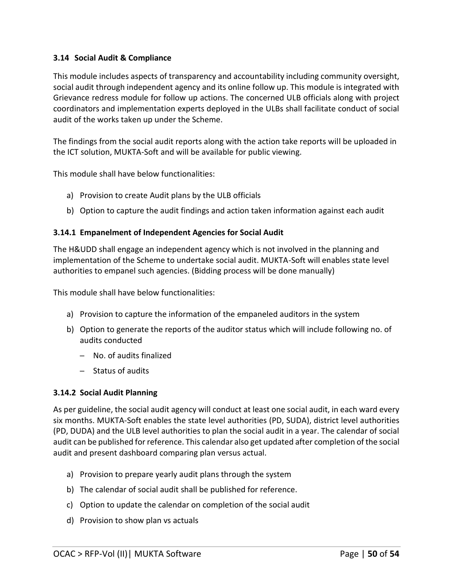#### <span id="page-50-0"></span>**3.14 Social Audit & Compliance**

This module includes aspects of transparency and accountability including community oversight, social audit through independent agency and its online follow up. This module is integrated with Grievance redress module for follow up actions. The concerned ULB officials along with project coordinators and implementation experts deployed in the ULBs shall facilitate conduct of social audit of the works taken up under the Scheme.

The findings from the social audit reports along with the action take reports will be uploaded in the ICT solution, MUKTA-Soft and will be available for public viewing.

This module shall have below functionalities:

- a) Provision to create Audit plans by the ULB officials
- b) Option to capture the audit findings and action taken information against each audit

#### <span id="page-50-1"></span>**3.14.1 Empanelment of Independent Agencies for Social Audit**

The H&UDD shall engage an independent agency which is not involved in the planning and implementation of the Scheme to undertake social audit. MUKTA-Soft will enables state level authorities to empanel such agencies. (Bidding process will be done manually)

This module shall have below functionalities:

- a) Provision to capture the information of the empaneled auditors in the system
- b) Option to generate the reports of the auditor status which will include following no. of audits conducted
	- ─ No. of audits finalized
	- ─ Status of audits

#### <span id="page-50-2"></span>**3.14.2 Social Audit Planning**

As per guideline, the social audit agency will conduct at least one social audit, in each ward every six months. MUKTA-Soft enables the state level authorities (PD, SUDA), district level authorities (PD, DUDA) and the ULB level authorities to plan the social audit in a year. The calendar of social audit can be published for reference. This calendar also get updated after completion of the social audit and present dashboard comparing plan versus actual.

- a) Provision to prepare yearly audit plans through the system
- b) The calendar of social audit shall be published for reference.
- c) Option to update the calendar on completion of the social audit
- d) Provision to show plan vs actuals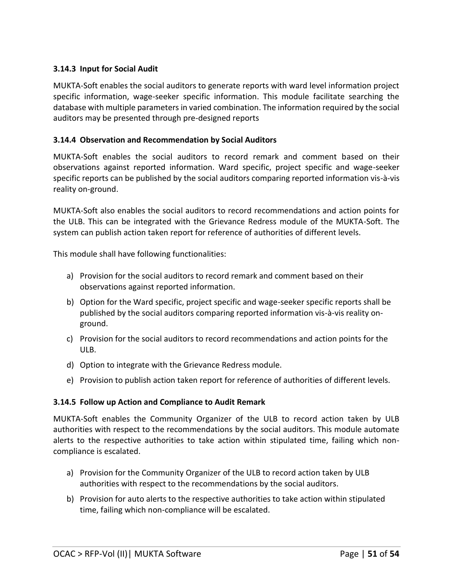#### <span id="page-51-0"></span>**3.14.3 Input for Social Audit**

MUKTA-Soft enables the social auditors to generate reports with ward level information project specific information, wage-seeker specific information. This module facilitate searching the database with multiple parameters in varied combination. The information required by the social auditors may be presented through pre-designed reports

#### <span id="page-51-1"></span>**3.14.4 Observation and Recommendation by Social Auditors**

MUKTA-Soft enables the social auditors to record remark and comment based on their observations against reported information. Ward specific, project specific and wage-seeker specific reports can be published by the social auditors comparing reported information vis-à-vis reality on-ground.

MUKTA-Soft also enables the social auditors to record recommendations and action points for the ULB. This can be integrated with the Grievance Redress module of the MUKTA-Soft. The system can publish action taken report for reference of authorities of different levels.

This module shall have following functionalities:

- a) Provision for the social auditors to record remark and comment based on their observations against reported information.
- b) Option for the Ward specific, project specific and wage-seeker specific reports shall be published by the social auditors comparing reported information vis-à-vis reality onground.
- c) Provision for the social auditors to record recommendations and action points for the ULB.
- d) Option to integrate with the Grievance Redress module.
- e) Provision to publish action taken report for reference of authorities of different levels.

# <span id="page-51-2"></span>**3.14.5 Follow up Action and Compliance to Audit Remark**

MUKTA-Soft enables the Community Organizer of the ULB to record action taken by ULB authorities with respect to the recommendations by the social auditors. This module automate alerts to the respective authorities to take action within stipulated time, failing which noncompliance is escalated.

- a) Provision for the Community Organizer of the ULB to record action taken by ULB authorities with respect to the recommendations by the social auditors.
- b) Provision for auto alerts to the respective authorities to take action within stipulated time, failing which non-compliance will be escalated.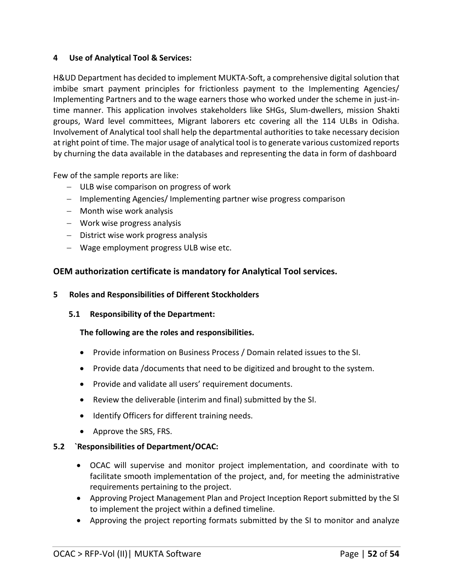#### <span id="page-52-0"></span>**4 Use of Analytical Tool & Services:**

H&UD Department has decided to implement MUKTA-Soft, a comprehensive digital solution that imbibe smart payment principles for frictionless payment to the Implementing Agencies/ Implementing Partners and to the wage earners those who worked under the scheme in just-intime manner. This application involves stakeholders like SHGs, Slum-dwellers, mission Shakti groups, Ward level committees, Migrant laborers etc covering all the 114 ULBs in Odisha. Involvement of Analytical tool shall help the departmental authorities to take necessary decision at right point of time. The major usage of analytical tool is to generate various customized reports by churning the data available in the databases and representing the data in form of dashboard

Few of the sample reports are like:

- − ULB wise comparison on progress of work
- − Implementing Agencies/ Implementing partner wise progress comparison
- − Month wise work analysis
- − Work wise progress analysis
- − District wise work progress analysis
- − Wage employment progress ULB wise etc.

#### **OEM authorization certificate is mandatory for Analytical Tool services.**

#### <span id="page-52-1"></span>**5 Roles and Responsibilities of Different Stockholders**

<span id="page-52-3"></span><span id="page-52-2"></span>**5.1 Responsibility of the Department:**

#### **The following are the roles and responsibilities.**

- Provide information on Business Process / Domain related issues to the SI.
- Provide data /documents that need to be digitized and brought to the system.
- Provide and validate all users' requirement documents.
- Review the deliverable (interim and final) submitted by the SI.
- Identify Officers for different training needs.
- Approve the SRS, FRS.

#### <span id="page-52-4"></span>**5.2 `Responsibilities of Department/OCAC:**

- OCAC will supervise and monitor project implementation, and coordinate with to facilitate smooth implementation of the project, and, for meeting the administrative requirements pertaining to the project.
- Approving Project Management Plan and Project Inception Report submitted by the SI to implement the project within a defined timeline.
- Approving the project reporting formats submitted by the SI to monitor and analyze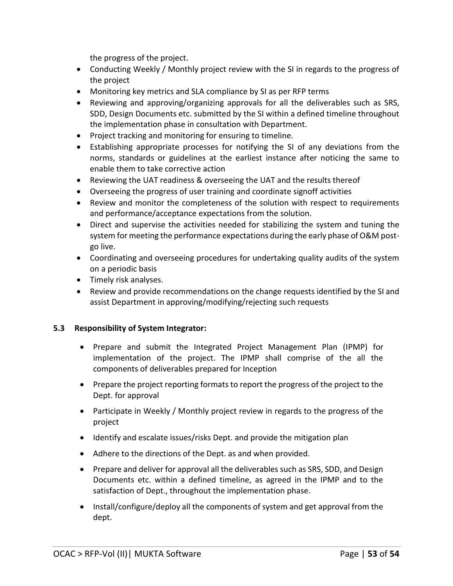the progress of the project.

- Conducting Weekly / Monthly project review with the SI in regards to the progress of the project
- Monitoring key metrics and SLA compliance by SI as per RFP terms
- Reviewing and approving/organizing approvals for all the deliverables such as SRS, SDD, Design Documents etc. submitted by the SI within a defined timeline throughout the implementation phase in consultation with Department.
- Project tracking and monitoring for ensuring to timeline.
- Establishing appropriate processes for notifying the SI of any deviations from the norms, standards or guidelines at the earliest instance after noticing the same to enable them to take corrective action
- Reviewing the UAT readiness & overseeing the UAT and the results thereof
- Overseeing the progress of user training and coordinate signoff activities
- Review and monitor the completeness of the solution with respect to requirements and performance/acceptance expectations from the solution.
- Direct and supervise the activities needed for stabilizing the system and tuning the system for meeting the performance expectations during the early phase of O&M postgo live.
- Coordinating and overseeing procedures for undertaking quality audits of the system on a periodic basis
- Timely risk analyses.
- Review and provide recommendations on the change requests identified by the SI and assist Department in approving/modifying/rejecting such requests

#### <span id="page-53-0"></span>**5.3 Responsibility of System Integrator:**

- Prepare and submit the Integrated Project Management Plan (IPMP) for implementation of the project. The IPMP shall comprise of the all the components of deliverables prepared for Inception
- Prepare the project reporting formats to report the progress of the project to the Dept. for approval
- Participate in Weekly / Monthly project review in regards to the progress of the project
- Identify and escalate issues/risks Dept. and provide the mitigation plan
- Adhere to the directions of the Dept. as and when provided.
- Prepare and deliver for approval all the deliverables such as SRS, SDD, and Design Documents etc. within a defined timeline, as agreed in the IPMP and to the satisfaction of Dept., throughout the implementation phase.
- Install/configure/deploy all the components of system and get approval from the dept.